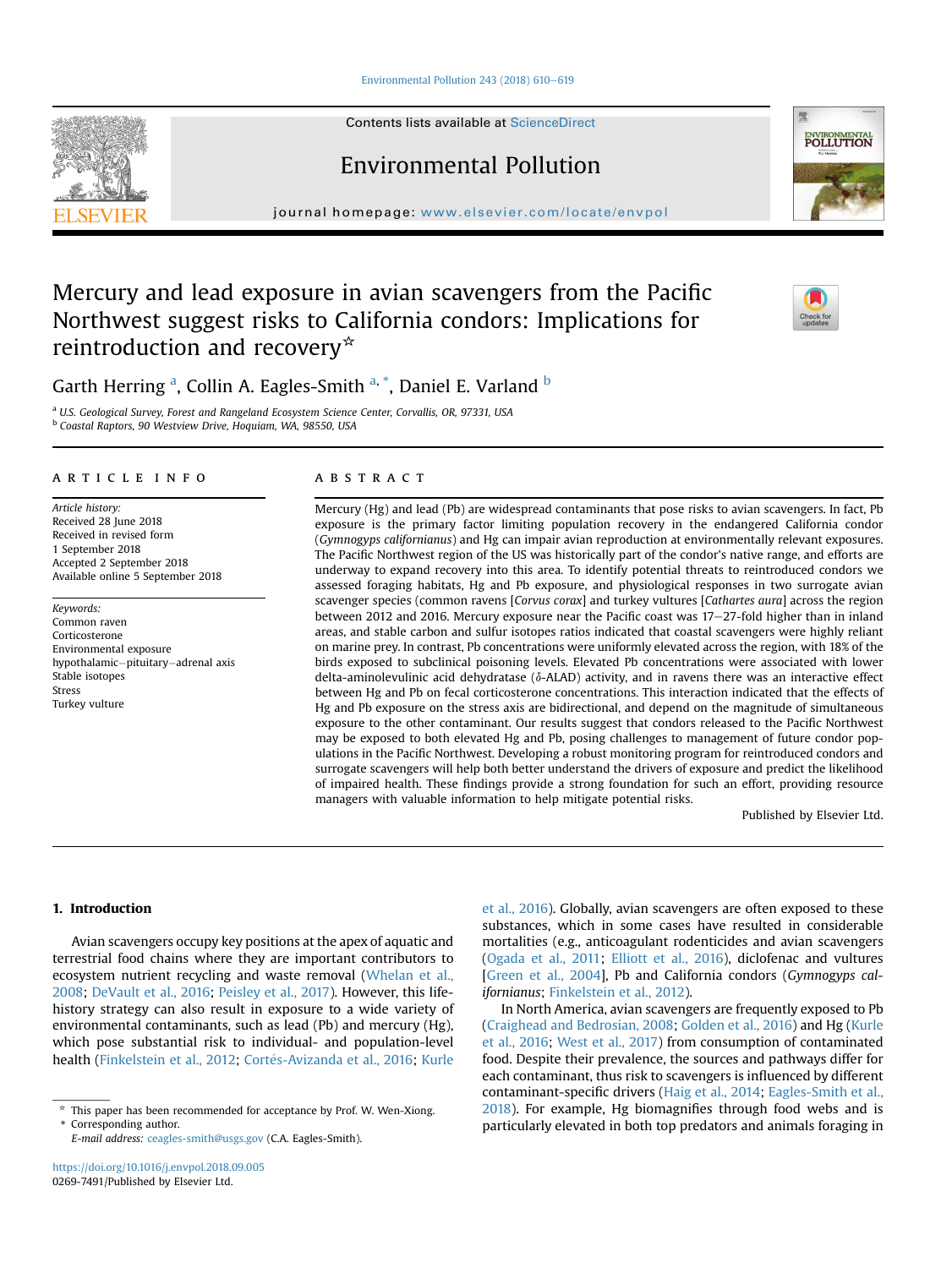# Environmental Pollution 243 (2018)  $610-619$  $610-619$

Contents lists available at ScienceDirect

# Environmental Pollution

journal homepage: [www.elsevier.com/locate/envpol](http://www.elsevier.com/locate/envpol)

# Mercury and lead exposure in avian scavengers from the Pacific Northwest suggest risks to California condors: Implications for reintroduction and recovery $*$

Garth Herring <sup>a</sup>, Collin A. Eagles-Smith <sup>a,</sup> <sup>\*</sup>, Daniel E. Varland <sup>b</sup>

<sup>a</sup> U.S. Geological Survey, Forest and Rangeland Ecosystem Science Center, Corvallis, OR, 97331, USA <sup>b</sup> Coastal Raptors, 90 Westview Drive, Hoquiam, WA, 98550, USA

#### article info

Article history: Received 28 June 2018 Received in revised form 1 September 2018 Accepted 2 September 2018 Available online 5 September 2018

Keywords: Common raven Corticosterone Environmental exposure hypothalamic-pituitary-adrenal axis Stable isotopes Stress Turkey vulture

# ABSTRACT

Mercury (Hg) and lead (Pb) are widespread contaminants that pose risks to avian scavengers. In fact, Pb exposure is the primary factor limiting population recovery in the endangered California condor (Gymnogyps californianus) and Hg can impair avian reproduction at environmentally relevant exposures. The Pacific Northwest region of the US was historically part of the condor's native range, and efforts are underway to expand recovery into this area. To identify potential threats to reintroduced condors we assessed foraging habitats, Hg and Pb exposure, and physiological responses in two surrogate avian scavenger species (common ravens [Corvus corax] and turkey vultures [Cathartes aura] across the region between 2012 and 2016. Mercury exposure near the Pacific coast was  $17-27$ -fold higher than in inland areas, and stable carbon and sulfur isotopes ratios indicated that coastal scavengers were highly reliant on marine prey. In contrast, Pb concentrations were uniformly elevated across the region, with 18% of the birds exposed to subclinical poisoning levels. Elevated Pb concentrations were associated with lower delta-aminolevulinic acid dehydratase ( $\delta$ -ALAD) activity, and in ravens there was an interactive effect between Hg and Pb on fecal corticosterone concentrations. This interaction indicated that the effects of Hg and Pb exposure on the stress axis are bidirectional, and depend on the magnitude of simultaneous exposure to the other contaminant. Our results suggest that condors released to the Pacific Northwest may be exposed to both elevated Hg and Pb, posing challenges to management of future condor populations in the Pacific Northwest. Developing a robust monitoring program for reintroduced condors and surrogate scavengers will help both better understand the drivers of exposure and predict the likelihood of impaired health. These findings provide a strong foundation for such an effort, providing resource managers with valuable information to help mitigate potential risks.

Published by Elsevier Ltd.

# 1. Introduction

Avian scavengers occupy key positions at the apex of aquatic and terrestrial food chains where they are important contributors to ecosystem nutrient recycling and waste removal [\(Whelan et al.,](#page-9-0) [2008](#page-9-0); [DeVault et al., 2016](#page-8-0); [Peisley et al., 2017](#page-9-0)). However, this lifehistory strategy can also result in exposure to a wide variety of environmental contaminants, such as lead (Pb) and mercury (Hg), which pose substantial risk to individual- and population-level health [\(Finkelstein et al., 2012](#page-8-0); Cortés-Avizanda et al., 2016; [Kurle](#page-9-0) [et al., 2016\)](#page-9-0). Globally, avian scavengers are often exposed to these substances, which in some cases have resulted in considerable mortalities (e.g., anticoagulant rodenticides and avian scavengers ([Ogada et al., 2011;](#page-9-0) [Elliott et al., 2016\)](#page-8-0), diclofenac and vultures [[Green et al., 2004\]](#page-9-0), Pb and California condors (Gymnogyps californianus; [Finkelstein et al., 2012](#page-8-0)).

In North America, avian scavengers are frequently exposed to Pb ([Craighead and Bedrosian, 2008](#page-8-0); [Golden et al., 2016\)](#page-8-0) and Hg ([Kurle](#page-9-0) [et al., 2016](#page-9-0); [West et al., 2017\)](#page-9-0) from consumption of contaminated food. Despite their prevalence, the sources and pathways differ for each contaminant, thus risk to scavengers is influenced by different contaminant-specific drivers [\(Haig et al., 2014;](#page-9-0) [Eagles-Smith et al.,](#page-8-0) [2018\)](#page-8-0). For example, Hg biomagnifies through food webs and is particularly elevated in both top predators and animals foraging in





 $*$  This paper has been recommended for acceptance by Prof. W. Wen-Xiong.

Corresponding author.

E-mail address: [ceagles-smith@usgs.gov](mailto:ceagles-smith@usgs.gov) (C.A. Eagles-Smith).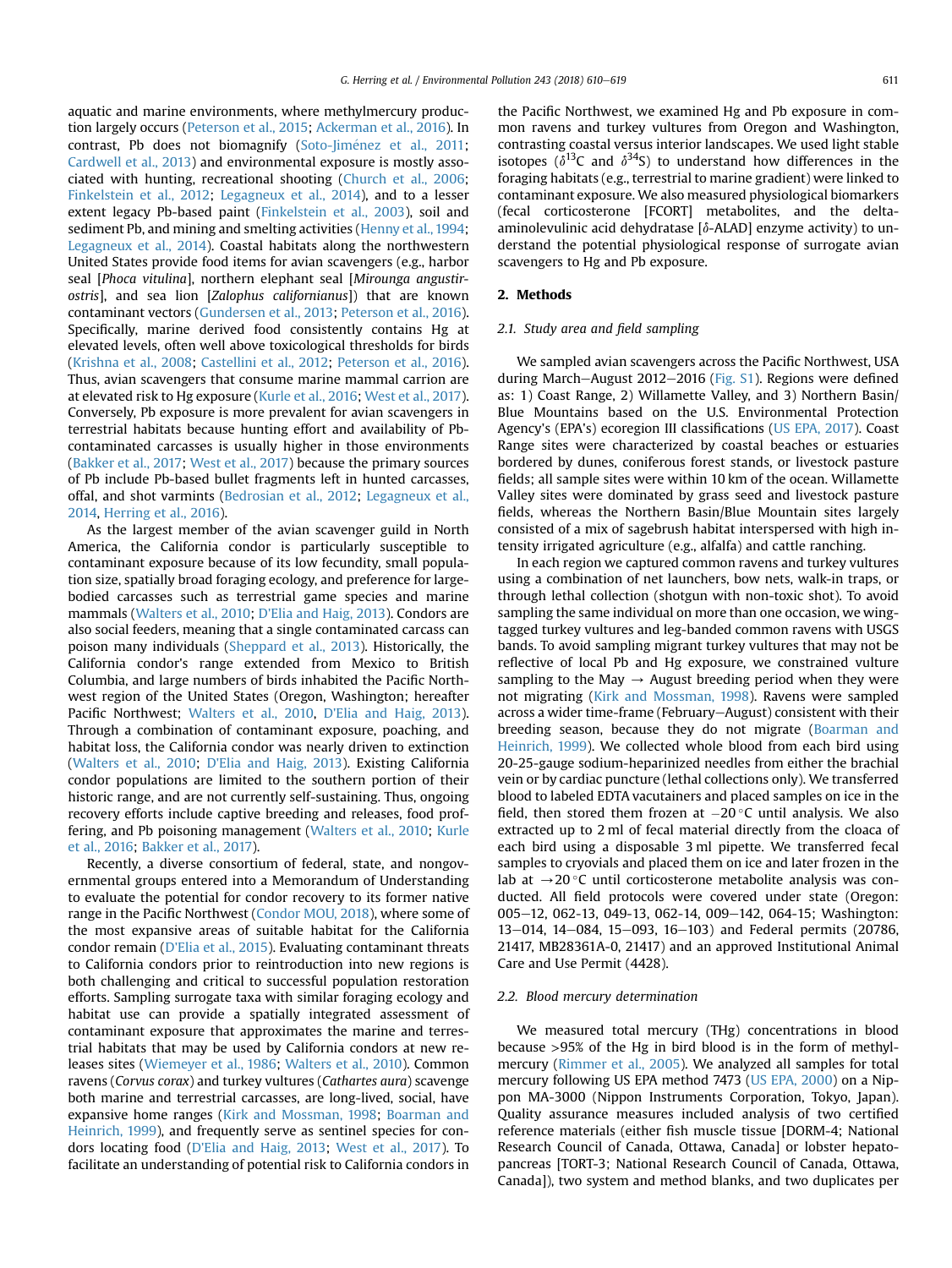aquatic and marine environments, where methylmercury production largely occurs [\(Peterson et al., 2015;](#page-9-0) [Ackerman et al., 2016\)](#page-8-0). In contrast, Pb does not biomagnify (Soto-Jiménez et al., 2011; [Cardwell et al., 2013\)](#page-8-0) and environmental exposure is mostly associated with hunting, recreational shooting ([Church et al., 2006;](#page-8-0) [Finkelstein et al., 2012](#page-8-0); [Legagneux et al., 2014\)](#page-9-0), and to a lesser extent legacy Pb-based paint [\(Finkelstein et al., 2003](#page-8-0)), soil and sediment Pb, and mining and smelting activities ([Henny et al., 1994;](#page-9-0) [Legagneux et al., 2014](#page-9-0)). Coastal habitats along the northwestern United States provide food items for avian scavengers (e.g., harbor seal [Phoca vitulina], northern elephant seal [Mirounga angustirostris], and sea lion [Zalophus californianus]) that are known contaminant vectors ([Gundersen et al., 2013;](#page-9-0) [Peterson et al., 2016\)](#page-9-0). Specifically, marine derived food consistently contains Hg at elevated levels, often well above toxicological thresholds for birds ([Krishna et al., 2008](#page-9-0); [Castellini et al., 2012](#page-8-0); [Peterson et al., 2016\)](#page-9-0). Thus, avian scavengers that consume marine mammal carrion are at elevated risk to Hg exposure ([Kurle et al., 2016;](#page-9-0) [West et al., 2017\)](#page-9-0). Conversely, Pb exposure is more prevalent for avian scavengers in terrestrial habitats because hunting effort and availability of Pbcontaminated carcasses is usually higher in those environments ([Bakker et al., 2017;](#page-8-0) [West et al., 2017\)](#page-9-0) because the primary sources of Pb include Pb-based bullet fragments left in hunted carcasses, offal, and shot varmints [\(Bedrosian et al., 2012](#page-8-0); [Legagneux et al.,](#page-9-0) [2014,](#page-9-0) [Herring et al., 2016](#page-9-0)).

As the largest member of the avian scavenger guild in North America, the California condor is particularly susceptible to contaminant exposure because of its low fecundity, small population size, spatially broad foraging ecology, and preference for largebodied carcasses such as terrestrial game species and marine mammals ([Walters et al., 2010;](#page-9-0) [D'Elia and Haig, 2013](#page-8-0)). Condors are also social feeders, meaning that a single contaminated carcass can poison many individuals [\(Sheppard et al., 2013](#page-9-0)). Historically, the California condor's range extended from Mexico to British Columbia, and large numbers of birds inhabited the Pacific Northwest region of the United States (Oregon, Washington; hereafter Pacific Northwest; [Walters et al., 2010](#page-9-0), [D'Elia and Haig, 2013\)](#page-8-0). Through a combination of contaminant exposure, poaching, and habitat loss, the California condor was nearly driven to extinction ([Walters et al., 2010;](#page-9-0) [D'Elia and Haig, 2013](#page-8-0)). Existing California condor populations are limited to the southern portion of their historic range, and are not currently self-sustaining. Thus, ongoing recovery efforts include captive breeding and releases, food proffering, and Pb poisoning management [\(Walters et al., 2010;](#page-9-0) [Kurle](#page-9-0) [et al., 2016](#page-9-0); [Bakker et al., 2017\)](#page-8-0).

Recently, a diverse consortium of federal, state, and nongovernmental groups entered into a Memorandum of Understanding to evaluate the potential for condor recovery to its former native range in the Pacific Northwest [\(Condor MOU, 2018](#page-8-0)), where some of the most expansive areas of suitable habitat for the California condor remain [\(D'Elia et al., 2015\)](#page-8-0). Evaluating contaminant threats to California condors prior to reintroduction into new regions is both challenging and critical to successful population restoration efforts. Sampling surrogate taxa with similar foraging ecology and habitat use can provide a spatially integrated assessment of contaminant exposure that approximates the marine and terrestrial habitats that may be used by California condors at new releases sites [\(Wiemeyer et al., 1986;](#page-9-0) [Walters et al., 2010\)](#page-9-0). Common ravens (Corvus corax) and turkey vultures (Cathartes aura) scavenge both marine and terrestrial carcasses, are long-lived, social, have expansive home ranges ([Kirk and Mossman, 1998;](#page-9-0) [Boarman and](#page-8-0) [Heinrich, 1999\)](#page-8-0), and frequently serve as sentinel species for condors locating food [\(D'Elia and Haig, 2013;](#page-8-0) [West et al., 2017](#page-9-0)). To facilitate an understanding of potential risk to California condors in

the Pacific Northwest, we examined Hg and Pb exposure in common ravens and turkey vultures from Oregon and Washington, contrasting coastal versus interior landscapes. We used light stable isotopes ( $\delta^{13}$ C and  $\delta^{34}$ S) to understand how differences in the foraging habitats (e.g., terrestrial to marine gradient) were linked to contaminant exposure. We also measured physiological biomarkers (fecal corticosterone [FCORT] metabolites, and the deltaaminolevulinic acid dehydratase  $\delta$ -ALAD] enzyme activity) to understand the potential physiological response of surrogate avian scavengers to Hg and Pb exposure.

## 2. Methods

#### 2.1. Study area and field sampling

We sampled avian scavengers across the Pacific Northwest, USA during March-August 2012-2016 (Fig. S1). Regions were defined as: 1) Coast Range, 2) Willamette Valley, and 3) Northern Basin/ Blue Mountains based on the U.S. Environmental Protection Agency's (EPA's) ecoregion III classifications [\(US EPA, 2017](#page-9-0)). Coast Range sites were characterized by coastal beaches or estuaries bordered by dunes, coniferous forest stands, or livestock pasture fields; all sample sites were within 10 km of the ocean. Willamette Valley sites were dominated by grass seed and livestock pasture fields, whereas the Northern Basin/Blue Mountain sites largely consisted of a mix of sagebrush habitat interspersed with high intensity irrigated agriculture (e.g., alfalfa) and cattle ranching.

In each region we captured common ravens and turkey vultures using a combination of net launchers, bow nets, walk-in traps, or through lethal collection (shotgun with non-toxic shot). To avoid sampling the same individual on more than one occasion, we wingtagged turkey vultures and leg-banded common ravens with USGS bands. To avoid sampling migrant turkey vultures that may not be reflective of local Pb and Hg exposure, we constrained vulture sampling to the May  $\rightarrow$  August breeding period when they were not migrating ([Kirk and Mossman, 1998\)](#page-9-0). Ravens were sampled across a wider time-frame (February-August) consistent with their breeding season, because they do not migrate [\(Boarman and](#page-8-0) [Heinrich, 1999](#page-8-0)). We collected whole blood from each bird using 20-25-gauge sodium-heparinized needles from either the brachial vein or by cardiac puncture (lethal collections only). We transferred blood to labeled EDTA vacutainers and placed samples on ice in the field, then stored them frozen at  $-20$  °C until analysis. We also extracted up to 2 ml of fecal material directly from the cloaca of each bird using a disposable 3 ml pipette. We transferred fecal samples to cryovials and placed them on ice and later frozen in the lab at  $\rightarrow$  20 °C until corticosterone metabolite analysis was conducted. All field protocols were covered under state (Oregon: 005-12, 062-13, 049-13, 062-14, 009-142, 064-15; Washington: 13-014, 14-084, 15-093, 16-103) and Federal permits (20786, 21417, MB28361A-0, 21417) and an approved Institutional Animal Care and Use Permit (4428).

## 2.2. Blood mercury determination

We measured total mercury (THg) concentrations in blood because >95% of the Hg in bird blood is in the form of methylmercury [\(Rimmer et al., 2005\)](#page-9-0). We analyzed all samples for total mercury following US EPA method 7473 ([US EPA, 2000](#page-9-0)) on a Nippon MA-3000 (Nippon Instruments Corporation, Tokyo, Japan). Quality assurance measures included analysis of two certified reference materials (either fish muscle tissue [DORM-4; National Research Council of Canada, Ottawa, Canada] or lobster hepatopancreas [TORT-3; National Research Council of Canada, Ottawa, Canada]), two system and method blanks, and two duplicates per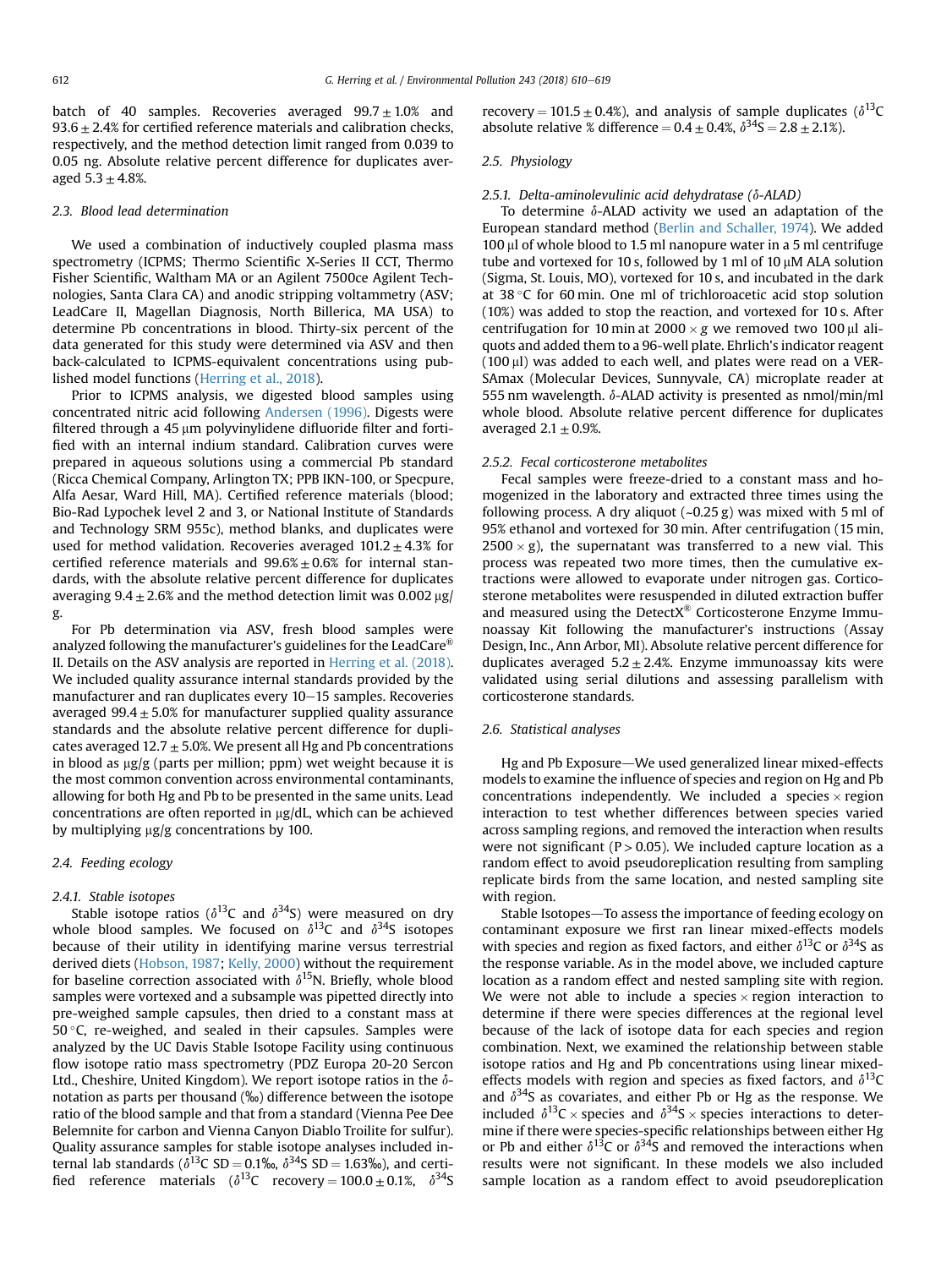batch of 40 samples. Recoveries averaged  $99.7 \pm 1.0$ % and  $93.6 \pm 2.4\%$  for certified reference materials and calibration checks, respectively, and the method detection limit ranged from 0.039 to 0.05 ng. Absolute relative percent difference for duplicates averaged  $5.3 \pm 4.8$ %.

#### 2.3. Blood lead determination

We used a combination of inductively coupled plasma mass spectrometry (ICPMS; Thermo Scientific X-Series II CCT, Thermo Fisher Scientific, Waltham MA or an Agilent 7500ce Agilent Technologies, Santa Clara CA) and anodic stripping voltammetry (ASV; LeadCare II, Magellan Diagnosis, North Billerica, MA USA) to determine Pb concentrations in blood. Thirty-six percent of the data generated for this study were determined via ASV and then back-calculated to ICPMS-equivalent concentrations using published model functions [\(Herring et al., 2018](#page-9-0)).

Prior to ICPMS analysis, we digested blood samples using concentrated nitric acid following [Andersen \(1996\).](#page-8-0) Digests were filtered through a 45 µm polyvinylidene difluoride filter and fortified with an internal indium standard. Calibration curves were prepared in aqueous solutions using a commercial Pb standard (Ricca Chemical Company, Arlington TX; PPB IKN-100, or Specpure, Alfa Aesar, Ward Hill, MA). Certified reference materials (blood; Bio-Rad Lypochek level 2 and 3, or National Institute of Standards and Technology SRM 955c), method blanks, and duplicates were used for method validation. Recoveries averaged  $101.2 \pm 4.3\%$  for certified reference materials and  $99.6\% \pm 0.6\%$  for internal standards, with the absolute relative percent difference for duplicates averaging  $9.4 \pm 2.6\%$  and the method detection limit was 0.002 µg/ g.

For Pb determination via ASV, fresh blood samples were analyzed following the manufacturer's guidelines for the LeadCare<sup>®</sup> II. Details on the ASV analysis are reported in [Herring et al. \(2018\).](#page-9-0) We included quality assurance internal standards provided by the manufacturer and ran duplicates every  $10-15$  samples. Recoveries averaged 99.4  $\pm$  5.0% for manufacturer supplied quality assurance standards and the absolute relative percent difference for duplicates averaged  $12.7 \pm 5.0$ %. We present all Hg and Pb concentrations in blood as  $\mu$ g/g (parts per million; ppm) wet weight because it is the most common convention across environmental contaminants, allowing for both Hg and Pb to be presented in the same units. Lead concentrations are often reported in  $\mu$ g/dL, which can be achieved by multiplying  $\mu$ g/g concentrations by 100.

# 2.4. Feeding ecology

#### 2.4.1. Stable isotopes

Stable isotope ratios ( $\delta^{13}$ C and  $\delta^{34}$ S) were measured on dry whole blood samples. We focused on  $\delta^{13}C$  and  $\delta^{34}S$  isotopes because of their utility in identifying marine versus terrestrial derived diets [\(Hobson, 1987;](#page-9-0) [Kelly, 2000\)](#page-9-0) without the requirement for baseline correction associated with  $\delta^{15}N$ . Briefly, whole blood samples were vortexed and a subsample was pipetted directly into pre-weighed sample capsules, then dried to a constant mass at  $50^{\circ}$ C, re-weighed, and sealed in their capsules. Samples were analyzed by the UC Davis Stable Isotope Facility using continuous flow isotope ratio mass spectrometry (PDZ Europa 20-20 Sercon Ltd., Cheshire, United Kingdom). We report isotope ratios in the  $\delta$ notation as parts per thousand (‰) difference between the isotope ratio of the blood sample and that from a standard (Vienna Pee Dee Belemnite for carbon and Vienna Canyon Diablo Troilite for sulfur). Quality assurance samples for stable isotope analyses included internal lab standards ( $\delta^{13}$ C SD = 0.1‰,  $\delta^{34}$ S SD = 1.63‰), and certified reference materials ( $\delta^{13}$ C recovery = 100.0  $\pm$  0.1%,  $\delta^{34}$ S recovery = 101.5  $\pm$  0.4%), and analysis of sample duplicates ( $\delta^{13}C$ absolute relative % difference =  $0.4 \pm 0.4$ %,  $\delta^{34}S = 2.8 \pm 2.1$ %).

# 2.5. Physiology

# 2.5.1. Delta-aminolevulinic acid dehydratase ( $\delta$ -ALAD)

To determine  $\delta$ -ALAD activity we used an adaptation of the European standard method [\(Berlin and Schaller, 1974](#page-8-0)). We added  $100 \mu$ l of whole blood to 1.5 ml nanopure water in a 5 ml centrifuge tube and vortexed for 10 s, followed by 1 ml of 10  $\mu$ M ALA solution (Sigma, St. Louis, MO), vortexed for 10 s, and incubated in the dark at 38 °C for 60 min. One ml of trichloroacetic acid stop solution (10%) was added to stop the reaction, and vortexed for 10 s. After centrifugation for 10 min at 2000  $\times$  g we removed two 100 µl aliquots and added them to a 96-well plate. Ehrlich's indicator reagent  $(100 \mu l)$  was added to each well, and plates were read on a VER-SAmax (Molecular Devices, Sunnyvale, CA) microplate reader at 555 nm wavelength.  $\delta$ -ALAD activity is presented as nmol/min/ml whole blood. Absolute relative percent difference for duplicates averaged  $2.1 \pm 0.9$ %.

#### 2.5.2. Fecal corticosterone metabolites

Fecal samples were freeze-dried to a constant mass and homogenized in the laboratory and extracted three times using the following process. A dry aliquot  $(-0.25 g)$  was mixed with 5 ml of 95% ethanol and vortexed for 30 min. After centrifugation (15 min,  $2500 \times g$ ), the supernatant was transferred to a new vial. This process was repeated two more times, then the cumulative extractions were allowed to evaporate under nitrogen gas. Corticosterone metabolites were resuspended in diluted extraction buffer and measured using the DetectX<sup>®</sup> Corticosterone Enzyme Immunoassay Kit following the manufacturer's instructions (Assay Design, Inc., Ann Arbor, MI). Absolute relative percent difference for duplicates averaged  $5.2 \pm 2.4$ %. Enzyme immunoassay kits were validated using serial dilutions and assessing parallelism with corticosterone standards.

#### 2.6. Statistical analyses

Hg and Pb Exposure-We used generalized linear mixed-effects models to examine the influence of species and region on Hg and Pb concentrations independently. We included a species  $\times$  region interaction to test whether differences between species varied across sampling regions, and removed the interaction when results were not significant ( $P > 0.05$ ). We included capture location as a random effect to avoid pseudoreplication resulting from sampling replicate birds from the same location, and nested sampling site with region.

Stable Isotopes—To assess the importance of feeding ecology on contaminant exposure we first ran linear mixed-effects models with species and region as fixed factors, and either  $\delta^{13}$ C or  $\delta^{34}$ S as the response variable. As in the model above, we included capture location as a random effect and nested sampling site with region. We were not able to include a species  $\times$  region interaction to determine if there were species differences at the regional level because of the lack of isotope data for each species and region combination. Next, we examined the relationship between stable isotope ratios and Hg and Pb concentrations using linear mixedeffects models with region and species as fixed factors, and  $\delta^{13}C$ and  $\delta^{34}$ S as covariates, and either Pb or Hg as the response. We included  $\delta^{13}C \times$  species and  $\delta^{34}S \times$  species interactions to determine if there were species-specific relationships between either Hg or Pb and either  $\delta^{13}$ C or  $\delta^{34}$ S and removed the interactions when results were not significant. In these models we also included sample location as a random effect to avoid pseudoreplication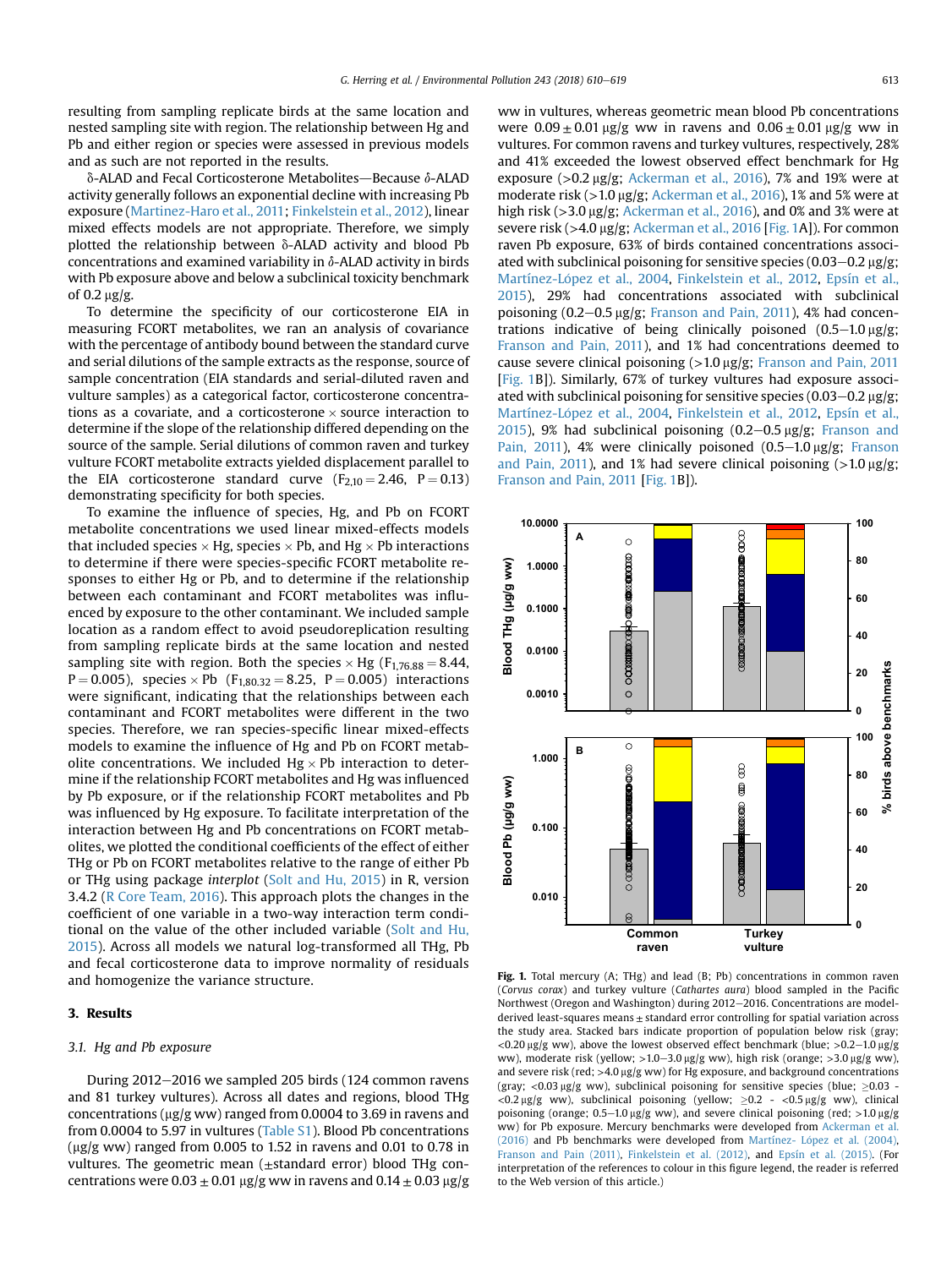<span id="page-3-0"></span>resulting from sampling replicate birds at the same location and nested sampling site with region. The relationship between Hg and Pb and either region or species were assessed in previous models and as such are not reported in the results.

 $\delta$ -ALAD and Fecal Corticosterone Metabolites—Because  $\delta$ -ALAD activity generally follows an exponential decline with increasing Pb exposure ([Martinez-Haro et al., 2011](#page-9-0); [Finkelstein et al., 2012](#page-8-0)), linear mixed effects models are not appropriate. Therefore, we simply plotted the relationship between  $\delta$ -ALAD activity and blood Pb concentrations and examined variability in  $\delta$ -ALAD activity in birds with Pb exposure above and below a subclinical toxicity benchmark of  $0.2 \text{ m/s}$ .

To determine the specificity of our corticosterone EIA in measuring FCORT metabolites, we ran an analysis of covariance with the percentage of antibody bound between the standard curve and serial dilutions of the sample extracts as the response, source of sample concentration (EIA standards and serial-diluted raven and vulture samples) as a categorical factor, corticosterone concentrations as a covariate, and a corticosterone  $\times$  source interaction to determine if the slope of the relationship differed depending on the source of the sample. Serial dilutions of common raven and turkey vulture FCORT metabolite extracts yielded displacement parallel to the EIA corticosterone standard curve  $(F_{2,10} = 2.46, P = 0.13)$ demonstrating specificity for both species.

To examine the influence of species, Hg, and Pb on FCORT metabolite concentrations we used linear mixed-effects models that included species  $\times$  Hg, species  $\times$  Pb, and Hg  $\times$  Pb interactions to determine if there were species-specific FCORT metabolite responses to either Hg or Pb, and to determine if the relationship between each contaminant and FCORT metabolites was influenced by exposure to the other contaminant. We included sample location as a random effect to avoid pseudoreplication resulting from sampling replicate birds at the same location and nested sampling site with region. Both the species  $\times$  Hg (F<sub>1,76.88</sub> = 8.44,  $P = 0.005$ ), species  $\times$  Pb (F<sub>1,80,32</sub> = 8,25, P = 0.005) interactions were significant, indicating that the relationships between each contaminant and FCORT metabolites were different in the two species. Therefore, we ran species-specific linear mixed-effects models to examine the influence of Hg and Pb on FCORT metabolite concentrations. We included  $Hg \times Pb$  interaction to determine if the relationship FCORT metabolites and Hg was influenced by Pb exposure, or if the relationship FCORT metabolites and Pb was influenced by Hg exposure. To facilitate interpretation of the interaction between Hg and Pb concentrations on FCORT metabolites, we plotted the conditional coefficients of the effect of either THg or Pb on FCORT metabolites relative to the range of either Pb or THg using package interplot [\(Solt and Hu, 2015](#page-9-0)) in R, version 3.4.2 ([R Core Team, 2016](#page-9-0)). This approach plots the changes in the coefficient of one variable in a two-way interaction term conditional on the value of the other included variable ([Solt and Hu,](#page-9-0) [2015](#page-9-0)). Across all models we natural log-transformed all THg, Pb and fecal corticosterone data to improve normality of residuals and homogenize the variance structure.

# 3. Results

## 3.1. Hg and Pb exposure

During 2012-2016 we sampled 205 birds (124 common ravens and 81 turkey vultures). Across all dates and regions, blood THg concentrations ( $\mu$ g/g ww) ranged from 0.0004 to 3.69 in ravens and from 0.0004 to 5.97 in vultures (Table S1). Blood Pb concentrations ( $\mu$ g/g ww) ranged from 0.005 to 1.52 in ravens and 0.01 to 0.78 in vultures. The geometric mean  $(\pm$ standard error) blood THg concentrations were  $0.03 \pm 0.01$  µg/g ww in ravens and  $0.14 \pm 0.03$  µg/g ww in vultures, whereas geometric mean blood Pb concentrations were  $0.09 \pm 0.01 \,\text{\upmu g/g}$  ww in ravens and  $0.06 \pm 0.01 \,\text{\upmu g/g}$  ww in vultures. For common ravens and turkey vultures, respectively, 28% and 41% exceeded the lowest observed effect benchmark for Hg exposure  $(>0.2 \text{ µg/g};$  [Ackerman et al., 2016](#page-8-0)), 7% and 19% were at moderate risk (>1.0 µg/g; [Ackerman et al., 2016](#page-8-0)), 1% and 5% were at high risk ( $>$ 3.0  $\mu$ g/g; [Ackerman et al., 2016\)](#page-8-0), and 0% and 3% were at severe risk (>4.0 µg/g; [Ackerman et al., 2016](#page-8-0) [Fig. 1A]). For common raven Pb exposure, 63% of birds contained concentrations associated with subclinical poisoning for sensitive species  $(0.03-0.2 \text{ µg/g})$ ; Martínez-López et al., 2004, [Finkelstein et al., 2012,](#page-8-0) [Epsín et al.,](#page-8-0) [2015\)](#page-8-0), 29% had concentrations associated with subclinical poisoning  $(0.2-0.5 \,\mu g/g;$  [Franson and Pain, 2011](#page-8-0)), 4% had concentrations indicative of being clinically poisoned  $(0.5-1.0 \,\mu g/g)$ ; [Franson and Pain, 2011\)](#page-8-0), and 1% had concentrations deemed to cause severe clinical poisoning  $(>1.0 \mu g/g$ ; [Franson and Pain, 2011](#page-8-0) [Fig. 1B]). Similarly, 67% of turkey vultures had exposure associated with subclinical poisoning for sensitive species (0.03–0.2  $\mu$ g/g; Martínez-López et al., 2004, [Finkelstein et al., 2012,](#page-8-0) [Epsín et al.,](#page-8-0) [2015\)](#page-8-0), 9% had subclinical poisoning  $(0.2-0.5 \text{ µg/g}; \text{Franson and})$  $(0.2-0.5 \text{ µg/g}; \text{Franson and})$  $(0.2-0.5 \text{ µg/g}; \text{Franson and})$ [Pain, 2011](#page-8-0)), 4% were clinically poisoned  $(0.5-1.0 \,\mu g/g;$  [Franson](#page-8-0) [and Pain, 2011](#page-8-0)), and 1% had severe clinical poisoning  $(>1.0 \text{ µg/g})$ ; [Franson and Pain, 2011](#page-8-0) [Fig. 1B]).



Fig. 1. Total mercury (A; THg) and lead (B; Pb) concentrations in common raven (Corvus corax) and turkey vulture (Cathartes aura) blood sampled in the Pacific Northwest (Oregon and Washington) during  $2012-2016$ . Concentrations are modelderived least-squares means  $\pm$  standard error controlling for spatial variation across the study area. Stacked bars indicate proportion of population below risk (gray;  $\langle 0.20 \text{ ug/g} \text{ ww}$ ), above the lowest observed effect benchmark (blue;  $>0.2-1.0$  ug/g ww), moderate risk (yellow;  $>1.0-3.0 \mu g/g$  ww), high risk (orange;  $>3.0 \mu g/g$  ww), and severe risk (red;  $>4.0 \,\mu$ g/g ww) for Hg exposure, and background concentrations (gray; <0.03  $\mu$ g/g ww), subclinical poisoning for sensitive species (blue;  $\geq$ 0.03 - $<$ 0.2 µg/g ww), subclinical poisoning (yellow;  $\geq$ 0.2 -  $<$ 0.5 µg/g ww), clinical poisoning (orange;  $0.5-1.0 \mu g/g$  ww), and severe clinical poisoning (red; >1.0  $\mu g/g$ ww) for Pb exposure. Mercury benchmarks were developed from [Ackerman et al.](#page-8-0) [\(2016\)](#page-8-0) and Pb benchmarks were developed from Martínez- López et al. (2004), [Franson and Pain \(2011\)](#page-8-0), [Finkelstein et al. \(2012\),](#page-8-0) and [Epsín et al. \(2015\).](#page-8-0) (For interpretation of the references to colour in this figure legend, the reader is referred to the Web version of this article.)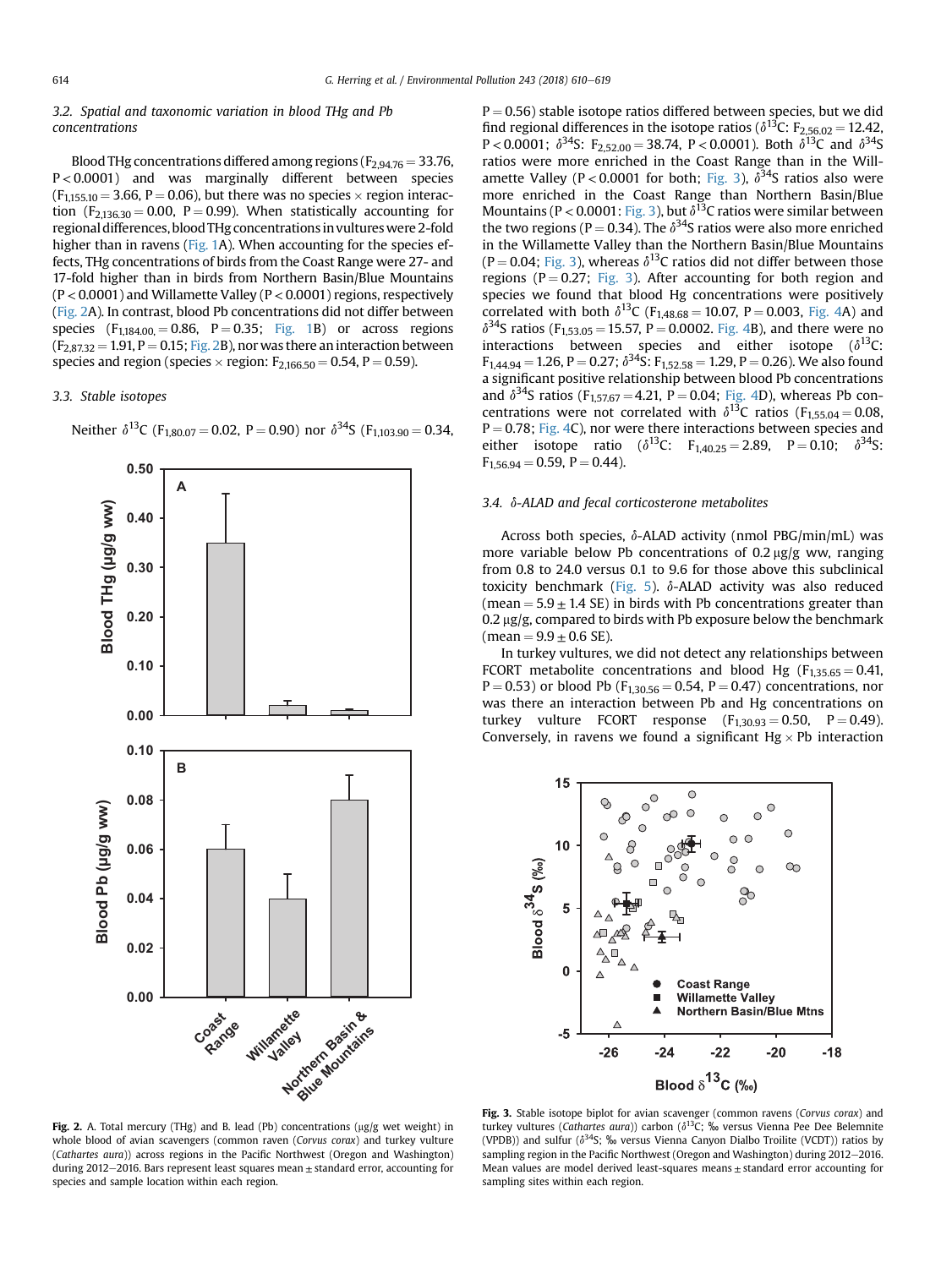# 3.2. Spatial and taxonomic variation in blood THg and Pb concentrations

Blood THg concentrations differed among regions ( $F_{2,94,76} = 33.76$ , P < 0.0001) and was marginally different between species  $(F<sub>115510</sub> = 3.66, P = 0.06)$ , but there was no species  $\times$  region interaction ( $F_{2,136,30} = 0.00$ ,  $P = 0.99$ ). When statistically accounting for regional differences, blood THg concentrationsin vultures were 2-fold higher than in ravens ([Fig. 1A](#page-3-0)). When accounting for the species effects, THg concentrations of birds from the Coast Range were 27- and 17-fold higher than in birds from Northern Basin/Blue Mountains  $(P < 0.0001)$  and Willamette Valley  $(P < 0.0001)$  regions, respectively (Fig. 2A). In contrast, blood Pb concentrations did not differ between species  $(F_{1,184,00} = 0.86, P = 0.35; Fig. 1B)$  $(F_{1,184,00} = 0.86, P = 0.35; Fig. 1B)$  $(F_{1,184,00} = 0.86, P = 0.35; Fig. 1B)$  or across regions  $(F_{2,87,32} = 1.91, P = 0.15; Fig. 2B)$ , nor was there an interaction between species and region (species  $\times$  region:  $F_{2,166,50} = 0.54$ , P = 0.59).

## 3.3. Stable isotopes

**0.00 0.02 0.04 0.06 0.08 0.10 0.00 0.10 0.20 0.30 0.40 0.50 A B Coast**  Range **Willamette Northern Basin & Blue Mountains Blood THg ( μg/g ww) Blood Pb ( μg/g ww)**

Neither  $\delta^{13}C$  (F<sub>1,80.07</sub> = 0.02, P = 0.90) nor  $\delta^{34}S$  (F<sub>1,103,90</sub> = 0.34,

 $P = 0.56$ ) stable isotope ratios differed between species, but we did find regional differences in the isotope ratios ( $\delta^{13}$ C: F<sub>2,56.02</sub> = 12,42, P < 0.0001;  $\delta^{34}$ S: F<sub>2,52,00</sub> = 38.74, P < 0.0001). Both  $\delta^{13}$ C and  $\delta^{34}$ S ratios were more enriched in the Coast Range than in the Willamette Valley (P < 0.0001 for both; Fig. 3),  $\delta^{34}$ S ratios also were more enriched in the Coast Range than Northern Basin/Blue Mountains (P < 0.0001: Fig. 3), but  $\delta^{13}$ C ratios were similar between the two regions (P = 0.34). The  $\delta^{34}$ S ratios were also more enriched in the Willamette Valley than the Northern Basin/Blue Mountains (P = 0.04; Fig. 3), whereas  $\delta^{13}$ C ratios did not differ between those regions ( $P = 0.27$ ; Fig. 3). After accounting for both region and species we found that blood Hg concentrations were positively correlated with both  $\delta^{13}C$  (F<sub>1,48.68</sub> = 10.07, P = 0.003, [Fig. 4](#page-5-0)A) and  $\delta^{34}$ S ratios (F<sub>1,53.05</sub> = 15.57, P = 0.0002. [Fig. 4B](#page-5-0)), and there were no interactions between species and either isotope  $(\delta^{13}C)$ :  $F_{1,44,94} = 1.26$ , P = 0.27;  $\delta^{34}$ S:  $F_{1,52,58} = 1.29$ , P = 0.26). We also found a significant positive relationship between blood Pb concentrations and  $\delta^{34}$ S ratios (F<sub>1,57,67</sub> = 4,21, P = 0.04; [Fig. 4D](#page-5-0)), whereas Pb concentrations were not correlated with  $\delta^{13}$ C ratios (F<sub>1,55.04</sub> = 0.08,  $P = 0.78$ ; [Fig. 4](#page-5-0)C), nor were there interactions between species and either isotope ratio ( $\delta^{13}$ C: F<sub>1,40,25</sub> = 2.89, P = 0.10;  $\delta^{34}$ S:  $F_{1,56.94} = 0.59$ ,  $P = 0.44$ ).

# 3.4. d-ALAD and fecal corticosterone metabolites

Across both species,  $\delta$ -ALAD activity (nmol PBG/min/mL) was more variable below Pb concentrations of  $0.2 \mu$ g/g ww, ranging from 0.8 to 24.0 versus 0.1 to 9.6 for those above this subclinical toxicity benchmark [\(Fig. 5\)](#page-5-0).  $\delta$ -ALAD activity was also reduced (mean  $= 5.9 \pm 1.4$  SE) in birds with Pb concentrations greater than  $0.2 \,\mathrm{\upmu g/g}$ , compared to birds with Pb exposure below the benchmark (mean =  $9.9 \pm 0.6$  SE).

In turkey vultures, we did not detect any relationships between FCORT metabolite concentrations and blood Hg ( $F_{1,35,65} = 0.41$ ,  $P = 0.53$ ) or blood Pb ( $F_{1,30.56} = 0.54$ ,  $P = 0.47$ ) concentrations, nor was there an interaction between Pb and Hg concentrations on turkey vulture FCORT response  $(F<sub>1,30.93</sub> = 0.50, P = 0.49)$ . Conversely, in ravens we found a significant  $Hg \times Pb$  interaction



Fig. 2. A. Total mercury (THg) and B. lead (Pb) concentrations ( $\mu$ g/g wet weight) in whole blood of avian scavengers (common raven (Corvus corax) and turkey vulture (Cathartes aura)) across regions in the Pacific Northwest (Oregon and Washington) during 2012 $-$ 2016. Bars represent least squares mean  $\pm$  standard error, accounting for species and sample location within each region.

Fig. 3. Stable isotope biplot for avian scavenger (common ravens (Corvus corax) and turkey vultures (Cathartes aura)) carbon ( $\delta^{13}$ C; ‰ versus Vienna Pee Dee Belemnite (VPDB)) and sulfur ( $\delta^{34}$ S; ‰ versus Vienna Canyon Dialbo Troilite (VCDT)) ratios by sampling region in the Pacific Northwest (Oregon and Washington) during 2012–2016. Mean values are model derived least-squares means  $\pm$  standard error accounting for sampling sites within each region.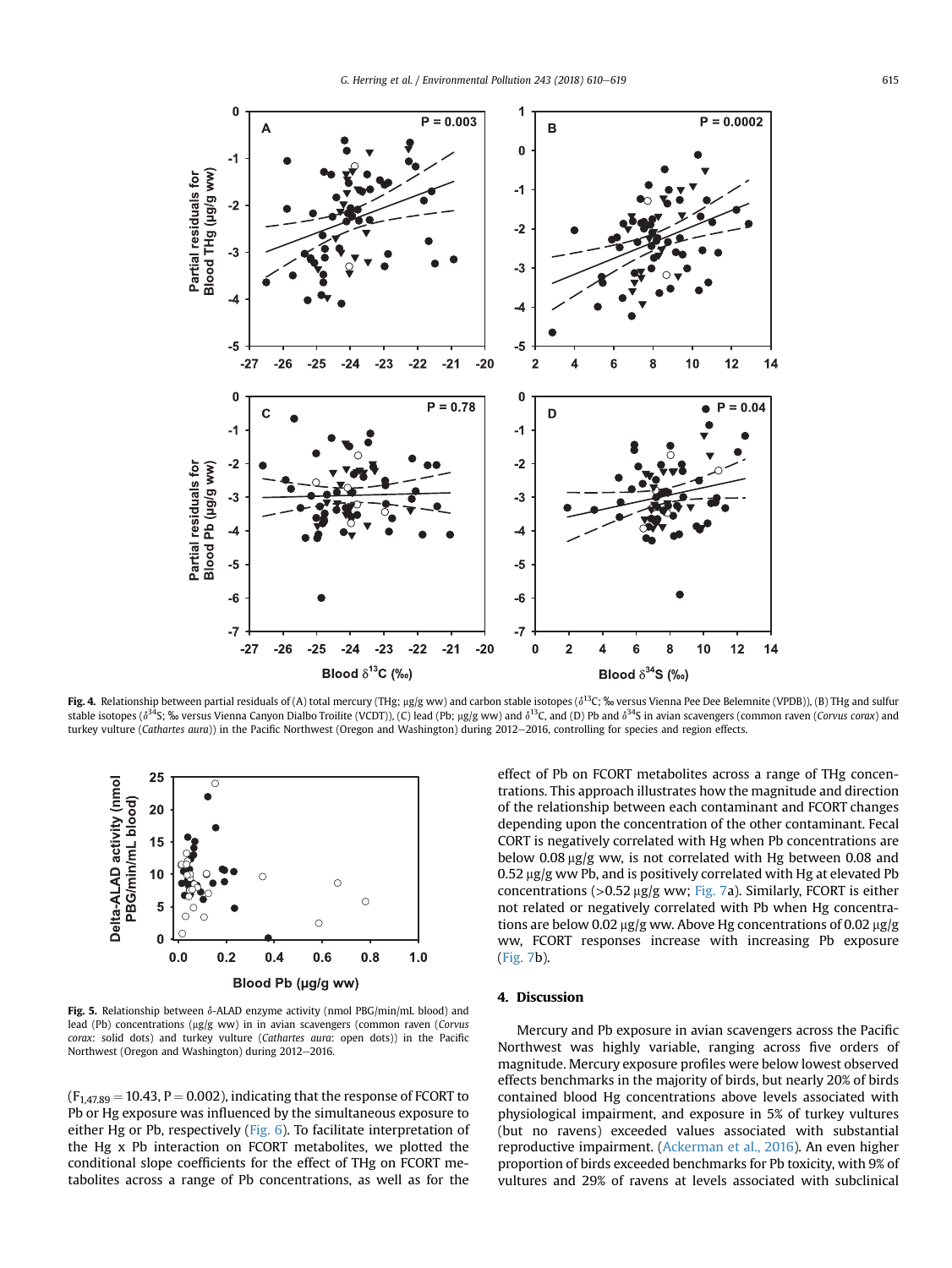<span id="page-5-0"></span>

Fig. 4. Relationship between partial residuals of (A) total mercury (THg; µg/g ww) and carbon stable isotopes ( $\delta^{13}C$ ; ‰ versus Vienna Pee Dee Belemnite (VPDB)), (B) THg and sulfur stable isotopes ( $\delta^{34}S$ ; ‰ versus Vienna Canyon Dialbo Troilite (VCDT)), (C) lead (Pb; µg/g ww) and  $\delta^{13}C$ , and (D) Pb and  $\delta^{34}S$  in avian scavengers (common raven (Corvus corax) and turkey vulture (Cathartes aura)) in the Pacific Northwest (Oregon and Washington) during 2012-2016, controlling for species and region effects.



Fig. 5. Relationship between  $\delta$ -ALAD enzyme activity (nmol PBG/min/mL blood) and lead (Pb) concentrations (µg/g ww) in in avian scavengers (common raven (Corvus corax: solid dots) and turkey vulture (Cathartes aura: open dots)) in the Pacific Northwest (Oregon and Washington) during 2012-2016.

 $(F<sub>1,47,89</sub> = 10.43, P = 0.002)$ , indicating that the response of FCORT to Pb or Hg exposure was influenced by the simultaneous exposure to either Hg or Pb, respectively [\(Fig. 6\)](#page-6-0). To facilitate interpretation of the Hg x Pb interaction on FCORT metabolites, we plotted the conditional slope coefficients for the effect of THg on FCORT metabolites across a range of Pb concentrations, as well as for the

effect of Pb on FCORT metabolites across a range of THg concentrations. This approach illustrates how the magnitude and direction of the relationship between each contaminant and FCORT changes depending upon the concentration of the other contaminant. Fecal CORT is negatively correlated with Hg when Pb concentrations are below 0.08  $\mu$ g/g ww, is not correlated with Hg between 0.08 and  $0.52 \,\mu$ g/g ww Pb, and is positively correlated with Hg at elevated Pb concentrations ( $>0.52 \mu$ g/g ww; [Fig. 7](#page-6-0)a). Similarly, FCORT is either not related or negatively correlated with Pb when Hg concentrations are below 0.02  $\mu$ g/g ww. Above Hg concentrations of 0.02  $\mu$ g/g ww, FCORT responses increase with increasing Pb exposure ([Fig. 7b](#page-6-0)).

# 4. Discussion

Mercury and Pb exposure in avian scavengers across the Pacific Northwest was highly variable, ranging across five orders of magnitude. Mercury exposure profiles were below lowest observed effects benchmarks in the majority of birds, but nearly 20% of birds contained blood Hg concentrations above levels associated with physiological impairment, and exposure in 5% of turkey vultures (but no ravens) exceeded values associated with substantial reproductive impairment. ([Ackerman et al., 2016\)](#page-8-0). An even higher proportion of birds exceeded benchmarks for Pb toxicity, with 9% of vultures and 29% of ravens at levels associated with subclinical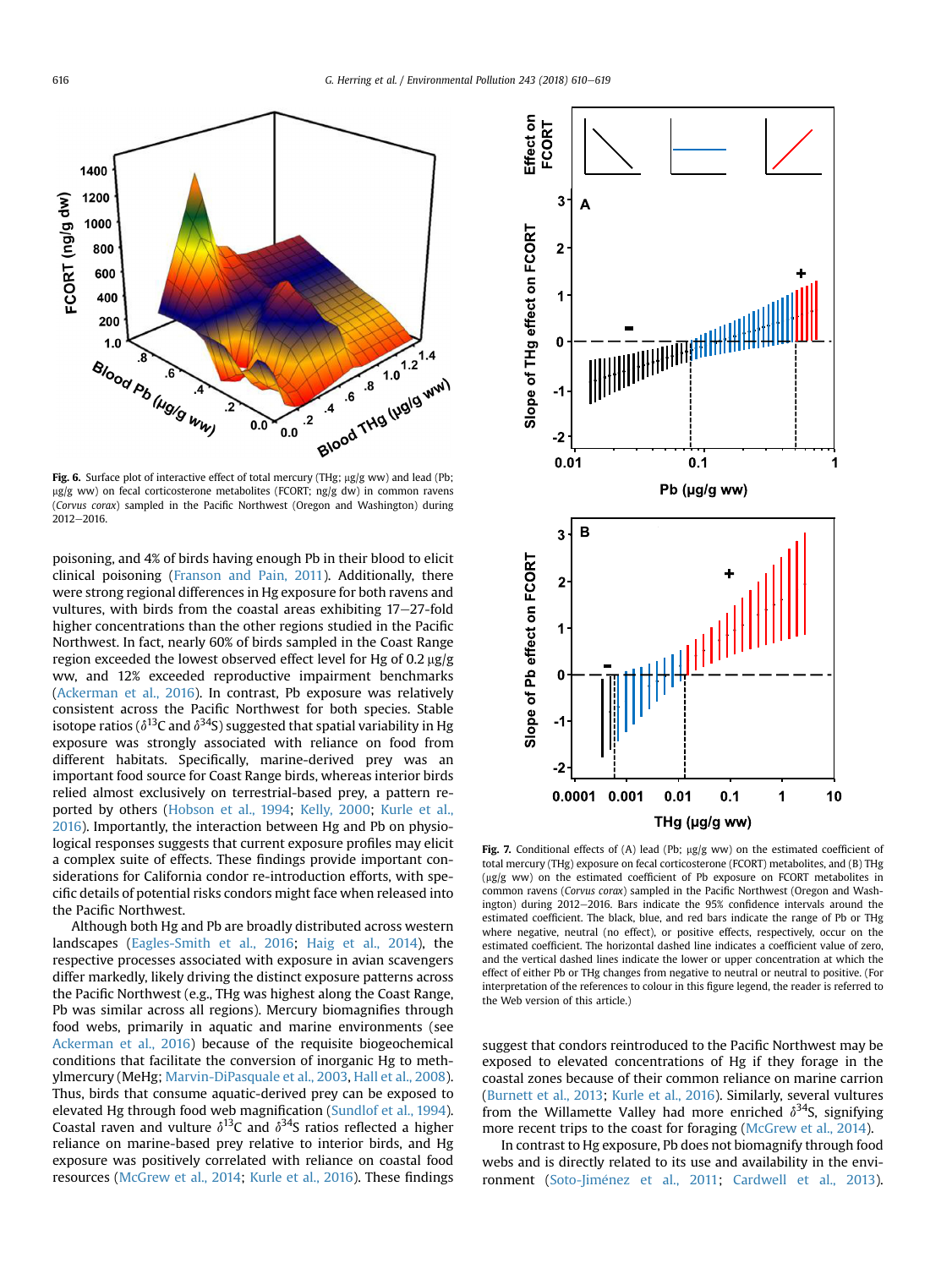<span id="page-6-0"></span>

Fig. 6. Surface plot of interactive effect of total mercury (THg;  $\mu$ g/g ww) and lead (Pb;  $\mu$ g/g ww) on fecal corticosterone metabolites (FCORT; ng/g dw) in common ravens (Corvus corax) sampled in the Pacific Northwest (Oregon and Washington) during  $2012 - 2016$ .

poisoning, and 4% of birds having enough Pb in their blood to elicit clinical poisoning ([Franson and Pain, 2011](#page-8-0)). Additionally, there were strong regional differences in Hg exposure for both ravens and vultures, with birds from the coastal areas exhibiting  $17-27$ -fold higher concentrations than the other regions studied in the Pacific Northwest. In fact, nearly 60% of birds sampled in the Coast Range region exceeded the lowest observed effect level for Hg of 0.2 ug/g ww, and 12% exceeded reproductive impairment benchmarks ([Ackerman et al., 2016\)](#page-8-0). In contrast, Pb exposure was relatively consistent across the Pacific Northwest for both species. Stable isotope ratios ( $\delta^{13}$ C and  $\delta^{34}$ S) suggested that spatial variability in Hg exposure was strongly associated with reliance on food from different habitats. Specifically, marine-derived prey was an important food source for Coast Range birds, whereas interior birds relied almost exclusively on terrestrial-based prey, a pattern re-ported by others [\(Hobson et al., 1994](#page-9-0); [Kelly, 2000;](#page-9-0) [Kurle et al.,](#page-9-0) [2016](#page-9-0)). Importantly, the interaction between Hg and Pb on physiological responses suggests that current exposure profiles may elicit a complex suite of effects. These findings provide important considerations for California condor re-introduction efforts, with specific details of potential risks condors might face when released into the Pacific Northwest.

Although both Hg and Pb are broadly distributed across western landscapes [\(Eagles-Smith et al., 2016;](#page-8-0) [Haig et al., 2014](#page-9-0)), the respective processes associated with exposure in avian scavengers differ markedly, likely driving the distinct exposure patterns across the Pacific Northwest (e.g., THg was highest along the Coast Range, Pb was similar across all regions). Mercury biomagnifies through food webs, primarily in aquatic and marine environments (see [Ackerman et al., 2016](#page-8-0)) because of the requisite biogeochemical conditions that facilitate the conversion of inorganic Hg to methylmercury (MeHg; [Marvin-DiPasquale et al., 2003,](#page-9-0) [Hall et al., 2008\)](#page-9-0). Thus, birds that consume aquatic-derived prey can be exposed to elevated Hg through food web magnification [\(Sundlof et al., 1994\)](#page-9-0). Coastal raven and vulture  $\delta^{13}$ C and  $\delta^{34}$ S ratios reflected a higher reliance on marine-based prey relative to interior birds, and Hg exposure was positively correlated with reliance on coastal food resources ([McGrew et al., 2014;](#page-9-0) [Kurle et al., 2016\)](#page-9-0). These findings



Fig. 7. Conditional effects of (A) lead (Pb;  $\mu$ g/g ww) on the estimated coefficient of total mercury (THg) exposure on fecal corticosterone (FCORT) metabolites, and (B) THg (mg/g ww) on the estimated coefficient of Pb exposure on FCORT metabolites in common ravens (Corvus corax) sampled in the Pacific Northwest (Oregon and Washington) during 2012-2016. Bars indicate the 95% confidence intervals around the estimated coefficient. The black, blue, and red bars indicate the range of Pb or THg where negative, neutral (no effect), or positive effects, respectively, occur on the estimated coefficient. The horizontal dashed line indicates a coefficient value of zero, and the vertical dashed lines indicate the lower or upper concentration at which the effect of either Pb or THg changes from negative to neutral or neutral to positive. (For interpretation of the references to colour in this figure legend, the reader is referred to the Web version of this article.)

suggest that condors reintroduced to the Pacific Northwest may be exposed to elevated concentrations of Hg if they forage in the coastal zones because of their common reliance on marine carrion ([Burnett et al., 2013](#page-8-0); [Kurle et al., 2016](#page-9-0)). Similarly, several vultures from the Willamette Valley had more enriched  $\delta^{34}$ S, signifying more recent trips to the coast for foraging ([McGrew et al., 2014](#page-9-0)).

In contrast to Hg exposure, Pb does not biomagnify through food webs and is directly related to its use and availability in the envi-ronment (Soto-Jiménez et al., 2011; [Cardwell et al., 2013\)](#page-8-0).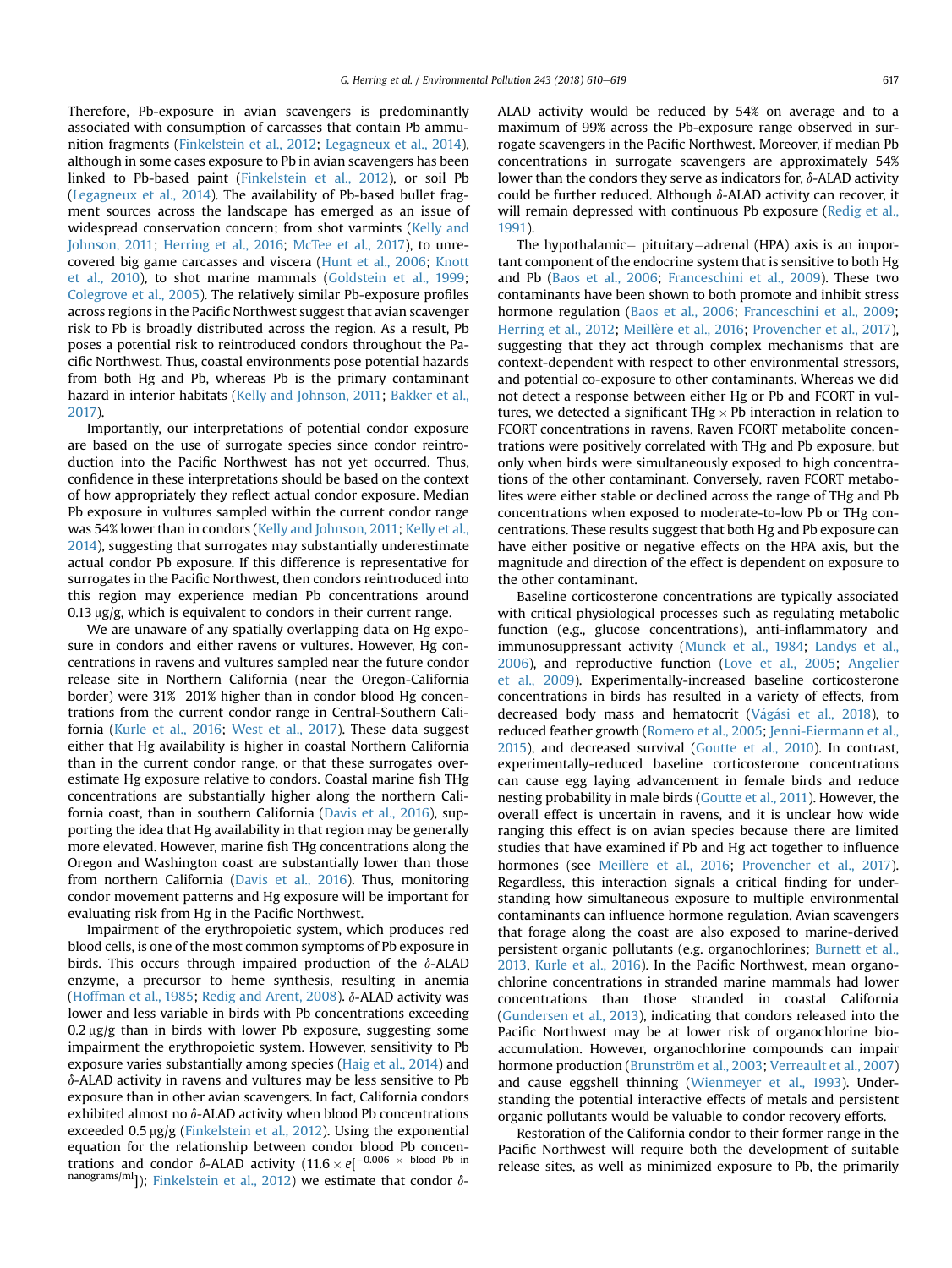Therefore, Pb-exposure in avian scavengers is predominantly associated with consumption of carcasses that contain Pb ammunition fragments [\(Finkelstein et al., 2012](#page-8-0); [Legagneux et al., 2014\)](#page-9-0), although in some cases exposure to Pb in avian scavengers has been linked to Pb-based paint ([Finkelstein et al., 2012](#page-8-0)), or soil Pb ([Legagneux et al., 2014\)](#page-9-0). The availability of Pb-based bullet fragment sources across the landscape has emerged as an issue of widespread conservation concern; from shot varmints ([Kelly and](#page-9-0) [Johnson, 2011](#page-9-0); [Herring et al., 2016](#page-9-0); [McTee et al., 2017\)](#page-9-0), to unrecovered big game carcasses and viscera [\(Hunt et al., 2006;](#page-9-0) [Knott](#page-9-0) [et al., 2010](#page-9-0)), to shot marine mammals ([Goldstein et al., 1999;](#page-8-0) [Colegrove et al., 2005\)](#page-8-0). The relatively similar Pb-exposure profiles across regions in the Pacific Northwest suggest that avian scavenger risk to Pb is broadly distributed across the region. As a result, Pb poses a potential risk to reintroduced condors throughout the Pacific Northwest. Thus, coastal environments pose potential hazards from both Hg and Pb, whereas Pb is the primary contaminant hazard in interior habitats [\(Kelly and Johnson, 2011](#page-9-0); [Bakker et al.,](#page-8-0) [2017](#page-8-0)).

Importantly, our interpretations of potential condor exposure are based on the use of surrogate species since condor reintroduction into the Pacific Northwest has not yet occurred. Thus, confidence in these interpretations should be based on the context of how appropriately they reflect actual condor exposure. Median Pb exposure in vultures sampled within the current condor range was 54% lower than in condors [\(Kelly and Johnson, 2011](#page-9-0); [Kelly et al.,](#page-9-0) [2014\)](#page-9-0), suggesting that surrogates may substantially underestimate actual condor Pb exposure. If this difference is representative for surrogates in the Pacific Northwest, then condors reintroduced into this region may experience median Pb concentrations around  $0.13 \mu$ g/g, which is equivalent to condors in their current range.

We are unaware of any spatially overlapping data on Hg exposure in condors and either ravens or vultures. However, Hg concentrations in ravens and vultures sampled near the future condor release site in Northern California (near the Oregon-California border) were 31%–201% higher than in condor blood Hg concentrations from the current condor range in Central-Southern California ([Kurle et al., 2016;](#page-9-0) [West et al., 2017](#page-9-0)). These data suggest either that Hg availability is higher in coastal Northern California than in the current condor range, or that these surrogates overestimate Hg exposure relative to condors. Coastal marine fish THg concentrations are substantially higher along the northern California coast, than in southern California ([Davis et al., 2016\)](#page-8-0), supporting the idea that Hg availability in that region may be generally more elevated. However, marine fish THg concentrations along the Oregon and Washington coast are substantially lower than those from northern California [\(Davis et al., 2016](#page-8-0)). Thus, monitoring condor movement patterns and Hg exposure will be important for evaluating risk from Hg in the Pacific Northwest.

Impairment of the erythropoietic system, which produces red blood cells, is one of the most common symptoms of Pb exposure in birds. This occurs through impaired production of the  $\delta$ -ALAD enzyme, a precursor to heme synthesis, resulting in anemia ([Hoffman et al., 1985](#page-9-0); [Redig and Arent, 2008\)](#page-9-0).  $\delta$ -ALAD activity was lower and less variable in birds with Pb concentrations exceeding  $0.2 \mu$ g/g than in birds with lower Pb exposure, suggesting some impairment the erythropoietic system. However, sensitivity to Pb exposure varies substantially among species [\(Haig et al., 2014](#page-9-0)) and  $\delta$ -ALAD activity in ravens and vultures may be less sensitive to Pb exposure than in other avian scavengers. In fact, California condors exhibited almost no  $\delta$ -ALAD activity when blood Pb concentrations exceeded 0.5 µg/g ([Finkelstein et al., 2012\)](#page-8-0). Using the exponential equation for the relationship between condor blood Pb concentrations and condor  $\delta$ -ALAD activity  $(11.6 \times e^{-0.006} \times$  blood Pb in nanograms/ml]); [Finkelstein et al., 2012](#page-8-0)) we estimate that condor  $\delta$ - ALAD activity would be reduced by 54% on average and to a maximum of 99% across the Pb-exposure range observed in surrogate scavengers in the Pacific Northwest. Moreover, if median Pb concentrations in surrogate scavengers are approximately 54% lower than the condors they serve as indicators for,  $\delta$ -ALAD activity could be further reduced. Although  $\delta$ -ALAD activity can recover, it will remain depressed with continuous Pb exposure ([Redig et al.,](#page-9-0) [1991\)](#page-9-0).

The hypothalamic- pituitary-adrenal (HPA) axis is an important component of the endocrine system that is sensitive to both Hg and Pb ([Baos et al., 2006;](#page-8-0) [Franceschini et al., 2009\)](#page-8-0). These two contaminants have been shown to both promote and inhibit stress hormone regulation ([Baos et al., 2006](#page-8-0); [Franceschini et al., 2009;](#page-8-0) [Herring et al., 2012;](#page-9-0) Meillère et al., 2016; [Provencher et al., 2017\)](#page-9-0). suggesting that they act through complex mechanisms that are context-dependent with respect to other environmental stressors, and potential co-exposure to other contaminants. Whereas we did not detect a response between either Hg or Pb and FCORT in vultures, we detected a significant THg  $\times$  Pb interaction in relation to FCORT concentrations in ravens. Raven FCORT metabolite concentrations were positively correlated with THg and Pb exposure, but only when birds were simultaneously exposed to high concentrations of the other contaminant. Conversely, raven FCORT metabolites were either stable or declined across the range of THg and Pb concentrations when exposed to moderate-to-low Pb or THg concentrations. These results suggest that both Hg and Pb exposure can have either positive or negative effects on the HPA axis, but the magnitude and direction of the effect is dependent on exposure to the other contaminant.

Baseline corticosterone concentrations are typically associated with critical physiological processes such as regulating metabolic function (e.g., glucose concentrations), anti-inflammatory and immunosuppressant activity ([Munck et al., 1984;](#page-9-0) [Landys et al.,](#page-9-0) [2006\)](#page-9-0), and reproductive function [\(Love et al., 2005;](#page-9-0) [Angelier](#page-8-0) [et al., 2009](#page-8-0)). Experimentally-increased baseline corticosterone concentrations in birds has resulted in a variety of effects, from decreased body mass and hematocrit (Vágá[si et al., 2018](#page-9-0)), to reduced feather growth [\(Romero et al., 2005](#page-9-0); [Jenni-Eiermann et al.,](#page-9-0) [2015\)](#page-9-0), and decreased survival ([Goutte et al., 2010](#page-8-0)). In contrast, experimentally-reduced baseline corticosterone concentrations can cause egg laying advancement in female birds and reduce nesting probability in male birds ([Goutte et al., 2011\)](#page-9-0). However, the overall effect is uncertain in ravens, and it is unclear how wide ranging this effect is on avian species because there are limited studies that have examined if Pb and Hg act together to influence hormones (see Meillère et al., 2016; [Provencher et al., 2017\)](#page-9-0). Regardless, this interaction signals a critical finding for understanding how simultaneous exposure to multiple environmental contaminants can influence hormone regulation. Avian scavengers that forage along the coast are also exposed to marine-derived persistent organic pollutants (e.g. organochlorines; [Burnett et al.,](#page-8-0) [2013,](#page-8-0) [Kurle et al., 2016](#page-9-0)). In the Pacific Northwest, mean organochlorine concentrations in stranded marine mammals had lower concentrations than those stranded in coastal California ([Gundersen et al., 2013\)](#page-9-0), indicating that condors released into the Pacific Northwest may be at lower risk of organochlorine bioaccumulation. However, organochlorine compounds can impair hormone production (Brunström et al., 2003; [Verreault et al., 2007\)](#page-9-0) and cause eggshell thinning [\(Wienmeyer et al., 1993\)](#page-9-0). Understanding the potential interactive effects of metals and persistent organic pollutants would be valuable to condor recovery efforts.

Restoration of the California condor to their former range in the Pacific Northwest will require both the development of suitable release sites, as well as minimized exposure to Pb, the primarily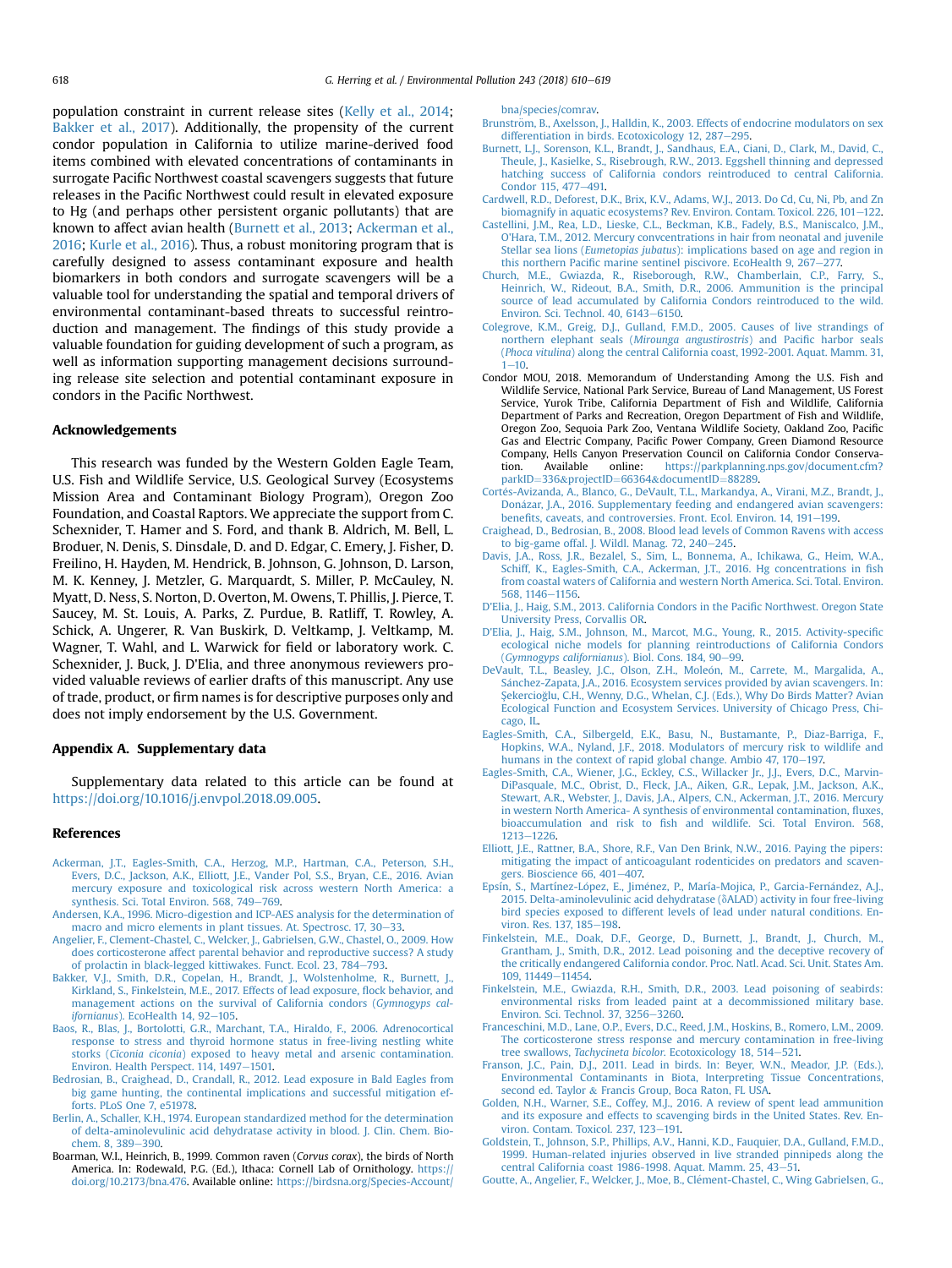<span id="page-8-0"></span>population constraint in current release sites ([Kelly et al., 2014](#page-9-0); Bakker et al., 2017). Additionally, the propensity of the current condor population in California to utilize marine-derived food items combined with elevated concentrations of contaminants in surrogate Pacific Northwest coastal scavengers suggests that future releases in the Pacific Northwest could result in elevated exposure to Hg (and perhaps other persistent organic pollutants) that are known to affect avian health (Burnett et al., 2013; Ackerman et al., 2016; [Kurle et al., 2016\)](#page-9-0). Thus, a robust monitoring program that is carefully designed to assess contaminant exposure and health biomarkers in both condors and surrogate scavengers will be a valuable tool for understanding the spatial and temporal drivers of environmental contaminant-based threats to successful reintroduction and management. The findings of this study provide a valuable foundation for guiding development of such a program, as well as information supporting management decisions surrounding release site selection and potential contaminant exposure in condors in the Pacific Northwest.

#### Acknowledgements

This research was funded by the Western Golden Eagle Team, U.S. Fish and Wildlife Service, U.S. Geological Survey (Ecosystems Mission Area and Contaminant Biology Program), Oregon Zoo Foundation, and Coastal Raptors. We appreciate the support from C. Schexnider, T. Hamer and S. Ford, and thank B. Aldrich, M. Bell, L. Broduer, N. Denis, S. Dinsdale, D. and D. Edgar, C. Emery, J. Fisher, D. Freilino, H. Hayden, M. Hendrick, B. Johnson, G. Johnson, D. Larson, M. K. Kenney, J. Metzler, G. Marquardt, S. Miller, P. McCauley, N. Myatt, D. Ness, S. Norton, D. Overton, M. Owens, T. Phillis, J. Pierce, T. Saucey, M. St. Louis, A. Parks, Z. Purdue, B. Ratliff, T. Rowley, A. Schick, A. Ungerer, R. Van Buskirk, D. Veltkamp, J. Veltkamp, M. Wagner, T. Wahl, and L. Warwick for field or laboratory work. C. Schexnider, J. Buck, J. D'Elia, and three anonymous reviewers provided valuable reviews of earlier drafts of this manuscript. Any use of trade, product, or firm names is for descriptive purposes only and does not imply endorsement by the U.S. Government.

#### Appendix A. Supplementary data

Supplementary data related to this article can be found at [https://doi.org/10.1016/j.envpol.2018.09.005.](https://doi.org/10.1016/j.envpol.2018.09.005)

## References

- [Ackerman, J.T., Eagles-Smith, C.A., Herzog, M.P., Hartman, C.A., Peterson, S.H.,](http://refhub.elsevier.com/S0269-7491(18)32978-6/sref1) [Evers, D.C., Jackson, A.K., Elliott, J.E., Vander Pol, S.S., Bryan, C.E., 2016. Avian](http://refhub.elsevier.com/S0269-7491(18)32978-6/sref1) [mercury exposure and toxicological risk across western North America: a](http://refhub.elsevier.com/S0269-7491(18)32978-6/sref1)<br>[synthesis. Sci. Total Environ. 568, 749](http://refhub.elsevier.com/S0269-7491(18)32978-6/sref1)–[769](http://refhub.elsevier.com/S0269-7491(18)32978-6/sref1).
- [Andersen, K.A., 1996. Micro-digestion and ICP-AES analysis for the determination of](http://refhub.elsevier.com/S0269-7491(18)32978-6/sref2) [macro and micro elements in plant tissues. At. Spectrosc. 17, 30](http://refhub.elsevier.com/S0269-7491(18)32978-6/sref2)–[33.](http://refhub.elsevier.com/S0269-7491(18)32978-6/sref2)
- [Angelier, F., Clement-Chastel, C., Welcker, J., Gabrielsen, G.W., Chastel, O., 2009. How](http://refhub.elsevier.com/S0269-7491(18)32978-6/sref3) [does corticosterone affect parental behavior and reproductive success? A study](http://refhub.elsevier.com/S0269-7491(18)32978-6/sref3) [of prolactin in black-legged kittiwakes. Funct. Ecol. 23, 784](http://refhub.elsevier.com/S0269-7491(18)32978-6/sref3)-[793.](http://refhub.elsevier.com/S0269-7491(18)32978-6/sref3)
- [Bakker, V.J., Smith, D.R., Copelan, H., Brandt, J., Wolstenholme, R., Burnett, J.,](http://refhub.elsevier.com/S0269-7491(18)32978-6/sref4) [Kirkland, S., Finkelstein, M.E., 2017. Effects of lead exposure,](http://refhub.elsevier.com/S0269-7491(18)32978-6/sref4) flock behavior, and [management actions on the survival of California condors \(](http://refhub.elsevier.com/S0269-7491(18)32978-6/sref4)Gymnogyps cal-ifornianus[\). EcoHealth 14, 92](http://refhub.elsevier.com/S0269-7491(18)32978-6/sref4)-[105](http://refhub.elsevier.com/S0269-7491(18)32978-6/sref4).
- [Baos, R., Blas, J., Bortolotti, G.R., Marchant, T.A., Hiraldo, F., 2006. Adrenocortical](http://refhub.elsevier.com/S0269-7491(18)32978-6/sref5) [response to stress and thyroid hormone status in free-living nestling white](http://refhub.elsevier.com/S0269-7491(18)32978-6/sref5) storks (Ciconia ciconia[\) exposed to heavy metal and arsenic contamination.](http://refhub.elsevier.com/S0269-7491(18)32978-6/sref5) [Environ. Health Perspect. 114, 1497](http://refhub.elsevier.com/S0269-7491(18)32978-6/sref5)-[1501.](http://refhub.elsevier.com/S0269-7491(18)32978-6/sref5)
- [Bedrosian, B., Craighead, D., Crandall, R., 2012. Lead exposure in Bald Eagles from](http://refhub.elsevier.com/S0269-7491(18)32978-6/sref3a) [big game hunting, the continental implications and successful mitigation ef](http://refhub.elsevier.com/S0269-7491(18)32978-6/sref3a)[forts. PLoS One 7, e51978.](http://refhub.elsevier.com/S0269-7491(18)32978-6/sref3a)
- [Berlin, A., Schaller, K.H., 1974. European standardized method for the determination](http://refhub.elsevier.com/S0269-7491(18)32978-6/sref6) [of delta-aminolevulinic acid dehydratase activity in blood. J. Clin. Chem. Bio](http://refhub.elsevier.com/S0269-7491(18)32978-6/sref6)[chem. 8, 389](http://refhub.elsevier.com/S0269-7491(18)32978-6/sref6)-[390](http://refhub.elsevier.com/S0269-7491(18)32978-6/sref6).
- Boarman, W.I., Heinrich, B., 1999. Common raven (Corvus corax), the birds of North America. In: Rodewald, P.G. (Ed.), Ithaca: Cornell Lab of Ornithology. [https://](https://doi.org/10.2173/bna.476) [doi.org/10.2173/bna.476.](https://doi.org/10.2173/bna.476) Available online: [https://birdsna.org/Species-Account/](https://birdsna.org/Species-Account/bna/species/comrav)

[bna/species/comrav.](https://birdsna.org/Species-Account/bna/species/comrav)

- Brunström, B., Axelsson, J., Halldin, K., 2003. Effects of endocrine modulators on sex [differentiation in birds. Ecotoxicology 12, 287](http://refhub.elsevier.com/S0269-7491(18)32978-6/sref8)-[295](http://refhub.elsevier.com/S0269-7491(18)32978-6/sref8).
- [Burnett, L.J., Sorenson, K.L., Brandt, J., Sandhaus, E.A., Ciani, D., Clark, M., David, C.,](http://refhub.elsevier.com/S0269-7491(18)32978-6/sref9) [Theule, J., Kasielke, S., Risebrough, R.W., 2013. Eggshell thinning and depressed](http://refhub.elsevier.com/S0269-7491(18)32978-6/sref9) [hatching success of California condors reintroduced to central California.](http://refhub.elsevier.com/S0269-7491(18)32978-6/sref9) [Condor 115, 477](http://refhub.elsevier.com/S0269-7491(18)32978-6/sref9)-[491.](http://refhub.elsevier.com/S0269-7491(18)32978-6/sref9)
- [Cardwell, R.D., Deforest, D.K., Brix, K.V., Adams, W.J., 2013. Do Cd, Cu, Ni, Pb, and Zn](http://refhub.elsevier.com/S0269-7491(18)32978-6/sref10) [biomagnify in aquatic ecosystems? Rev. Environ. Contam. Toxicol. 226, 101](http://refhub.elsevier.com/S0269-7491(18)32978-6/sref10)–[122](http://refhub.elsevier.com/S0269-7491(18)32978-6/sref10).
- [Castellini, J.M., Rea, L.D., Lieske, C.L., Beckman, K.B., Fadely, B.S., Maniscalco, J.M.,](http://refhub.elsevier.com/S0269-7491(18)32978-6/sref11) [O'Hara, T.M., 2012. Mercury convcentrations in hair from neonatal and juvenile](http://refhub.elsevier.com/S0269-7491(18)32978-6/sref11) Stellar sea lions (Eumetopias jubatus[\): implications based on age and region in](http://refhub.elsevier.com/S0269-7491(18)32978-6/sref11) this northern Pacifi[c marine sentinel piscivore. EcoHealth 9, 267](http://refhub.elsevier.com/S0269-7491(18)32978-6/sref11)-[277.](http://refhub.elsevier.com/S0269-7491(18)32978-6/sref11)
- [Church, M.E., Gwiazda, R., Riseborough, R.W., Chamberlain, C.P., Farry, S.,](http://refhub.elsevier.com/S0269-7491(18)32978-6/sref12) [Heinrich, W., Rideout, B.A., Smith, D.R., 2006. Ammunition is the principal](http://refhub.elsevier.com/S0269-7491(18)32978-6/sref12) [source of lead accumulated by California Condors reintroduced to the wild.](http://refhub.elsevier.com/S0269-7491(18)32978-6/sref12) Environ. Sci. Technol.  $40.6143 - 6150$ .
- [Colegrove, K.M., Greig, D.J., Gulland, F.M.D., 2005. Causes of live strandings of](http://refhub.elsevier.com/S0269-7491(18)32978-6/sref13) [northern elephant seals \(](http://refhub.elsevier.com/S0269-7491(18)32978-6/sref13)Mirounga angustirostris) and Pacific harbor seals (Phoca vitulina[\) along the central California coast, 1992-2001. Aquat. Mamm. 31,](http://refhub.elsevier.com/S0269-7491(18)32978-6/sref13)  $1 - 10$  $1 - 10$  $1 - 10$
- Condor MOU, 2018. Memorandum of Understanding Among the U.S. Fish and Wildlife Service, National Park Service, Bureau of Land Management, US Forest Service, Yurok Tribe, California Department of Fish and Wildlife, California Department of Parks and Recreation, Oregon Department of Fish and Wildlife, Oregon Zoo, Sequoia Park Zoo, Ventana Wildlife Society, Oakland Zoo, Pacific Gas and Electric Company, Pacific Power Company, Green Diamond Resource Company, Hells Canyon Preservation Council on California Condor Conservation. Available online: [https://parkplanning.nps.gov/document.cfm?](https://parkplanning.nps.gov/document.cfm?parkID=336&projectID=66364&documentID=88289) [parkID](https://parkplanning.nps.gov/document.cfm?parkID=336&projectID=66364&documentID=88289)=[336](https://parkplanning.nps.gov/document.cfm?parkID=336&projectID=66364&documentID=88289)&[projectID](https://parkplanning.nps.gov/document.cfm?parkID=336&projectID=66364&documentID=88289)=[66364](https://parkplanning.nps.gov/document.cfm?parkID=336&projectID=66364&documentID=88289)&[documentID](https://parkplanning.nps.gov/document.cfm?parkID=336&projectID=66364&documentID=88289)=[88289](https://parkplanning.nps.gov/document.cfm?parkID=336&projectID=66364&documentID=88289).
- Cortés-Avizanda, A., Blanco, G., DeVault, T.L., Markandya, A., Virani, M.Z., Brandt, J., [Don](http://refhub.elsevier.com/S0269-7491(18)32978-6/sref15) a[zar, J.A., 2016. Supplementary feeding and endangered avian scavengers:](http://refhub.elsevier.com/S0269-7491(18)32978-6/sref15) benefi[ts, caveats, and controversies. Front. Ecol. Environ. 14, 191](http://refhub.elsevier.com/S0269-7491(18)32978-6/sref15)-[199](http://refhub.elsevier.com/S0269-7491(18)32978-6/sref15).
- [Craighead, D., Bedrosian, B., 2008. Blood lead levels of Common Ravens with access](http://refhub.elsevier.com/S0269-7491(18)32978-6/sref16) [to big-game offal. J. Wildl. Manag. 72, 240](http://refhub.elsevier.com/S0269-7491(18)32978-6/sref16)-[245.](http://refhub.elsevier.com/S0269-7491(18)32978-6/sref16)
- Davis, J.A., Ross, J.R., Bezalel, S., Sim, L., Bonnema, A., Ichikawa, G., Heim, W.A. [Schiff, K., Eagles-Smith, C.A., Ackerman, J.T., 2016. Hg concentrations in](http://refhub.elsevier.com/S0269-7491(18)32978-6/sref2a) fish [from coastal waters of California and western North America. Sci. Total. Environ.](http://refhub.elsevier.com/S0269-7491(18)32978-6/sref2a) [568, 1146](http://refhub.elsevier.com/S0269-7491(18)32978-6/sref2a)-[1156](http://refhub.elsevier.com/S0269-7491(18)32978-6/sref2a).
- [D'Elia, J., Haig, S.M., 2013. California Condors in the Paci](http://refhub.elsevier.com/S0269-7491(18)32978-6/sref17)fic Northwest. Oregon State [University Press, Corvallis OR](http://refhub.elsevier.com/S0269-7491(18)32978-6/sref17).
- [D'Elia, J., Haig, S.M., Johnson, M., Marcot, M.G., Young, R., 2015. Activity-speci](http://refhub.elsevier.com/S0269-7491(18)32978-6/sref1a)fic [ecological niche models for planning reintroductions of California Condors](http://refhub.elsevier.com/S0269-7491(18)32978-6/sref1a) ([Gymnogyps californianus](http://refhub.elsevier.com/S0269-7491(18)32978-6/sref1a)). Biol. Cons. 184, 90-[99.](http://refhub.elsevier.com/S0269-7491(18)32978-6/sref1a)
- [DeVault, T.L., Beasley, J.C., Olson, Z.H., Mole](http://refhub.elsevier.com/S0269-7491(18)32978-6/sref18)ó[n, M., Carrete, M., Margalida, A.,](http://refhub.elsevier.com/S0269-7491(18)32978-6/sref18) [S](http://refhub.elsevier.com/S0269-7491(18)32978-6/sref18)a[nchez-Zapata, J.A., 2016. Ecosystem services provided by avian scavengers. In:](http://refhub.elsevier.com/S0269-7491(18)32978-6/sref18) Şekercioğ[lu, C.H., Wenny, D.G., Whelan, C.J. \(Eds.\), Why Do Birds Matter? Avian](http://refhub.elsevier.com/S0269-7491(18)32978-6/sref18) [Ecological Function and Ecosystem Services. University of Chicago Press, Chi](http://refhub.elsevier.com/S0269-7491(18)32978-6/sref18)[cago, IL](http://refhub.elsevier.com/S0269-7491(18)32978-6/sref18).
- [Eagles-Smith, C.A., Silbergeld, E.K., Basu, N., Bustamante, P., Diaz-Barriga, F.,](http://refhub.elsevier.com/S0269-7491(18)32978-6/sref19) [Hopkins, W.A., Nyland, J.F., 2018. Modulators of mercury risk to wildlife and](http://refhub.elsevier.com/S0269-7491(18)32978-6/sref19) [humans in the context of rapid global change. Ambio 47, 170](http://refhub.elsevier.com/S0269-7491(18)32978-6/sref19)-[197.](http://refhub.elsevier.com/S0269-7491(18)32978-6/sref19)
- [Eagles-Smith, C.A., Wiener, J.G., Eckley, C.S., Willacker Jr., J.J., Evers, D.C., Marvin-](http://refhub.elsevier.com/S0269-7491(18)32978-6/sref20)[DiPasquale, M.C., Obrist, D., Fleck, J.A., Aiken, G.R., Lepak, J.M., Jackson, A.K.,](http://refhub.elsevier.com/S0269-7491(18)32978-6/sref20) [Stewart, A.R., Webster, J., Davis, J.A., Alpers, C.N., Ackerman, J.T., 2016. Mercury](http://refhub.elsevier.com/S0269-7491(18)32978-6/sref20) [in western North America- A synthesis of environmental contamination,](http://refhub.elsevier.com/S0269-7491(18)32978-6/sref20) fluxes, bioaccumulation and risk to fi[sh and wildlife. Sci. Total Environ. 568,](http://refhub.elsevier.com/S0269-7491(18)32978-6/sref20) [1213](http://refhub.elsevier.com/S0269-7491(18)32978-6/sref20)-[1226.](http://refhub.elsevier.com/S0269-7491(18)32978-6/sref20)
- [Elliott, J.E., Rattner, B.A., Shore, R.F., Van Den Brink, N.W., 2016. Paying the pipers:](http://refhub.elsevier.com/S0269-7491(18)32978-6/sref21) [mitigating the impact of anticoagulant rodenticides on predators and scaven](http://refhub.elsevier.com/S0269-7491(18)32978-6/sref21)[gers. Bioscience 66, 401](http://refhub.elsevier.com/S0269-7491(18)32978-6/sref21)-[407.](http://refhub.elsevier.com/S0269-7491(18)32978-6/sref21)
- [Epsín, S., Martínez-L](http://refhub.elsevier.com/S0269-7491(18)32978-6/sref22)ó[pez, E., Jim](http://refhub.elsevier.com/S0269-7491(18)32978-6/sref22)é[nez, P., María-Mojica, P., Garcia-Fern](http://refhub.elsevier.com/S0269-7491(18)32978-6/sref22)á[ndez, A.J.,](http://refhub.elsevier.com/S0269-7491(18)32978-6/sref22) [2015. Delta-aminolevulinic acid dehydratase \(](http://refhub.elsevier.com/S0269-7491(18)32978-6/sref22) $\delta$ ALAD) activity in four free-living [bird species exposed to different levels of lead under natural conditions. En](http://refhub.elsevier.com/S0269-7491(18)32978-6/sref22)[viron. Res. 137, 185](http://refhub.elsevier.com/S0269-7491(18)32978-6/sref22)-[198.](http://refhub.elsevier.com/S0269-7491(18)32978-6/sref22)
- [Finkelstein, M.E., Doak, D.F., George, D., Burnett, J., Brandt, J., Church, M.,](http://refhub.elsevier.com/S0269-7491(18)32978-6/sref23) [Grantham, J., Smith, D.R., 2012. Lead poisoning and the deceptive recovery of](http://refhub.elsevier.com/S0269-7491(18)32978-6/sref23) [the critically endangered California condor. Proc. Natl. Acad. Sci. Unit. States Am.](http://refhub.elsevier.com/S0269-7491(18)32978-6/sref23) [109, 11449](http://refhub.elsevier.com/S0269-7491(18)32978-6/sref23)-[11454.](http://refhub.elsevier.com/S0269-7491(18)32978-6/sref23)
- [Finkelstein, M.E., Gwiazda, R.H., Smith, D.R., 2003. Lead poisoning of seabirds:](http://refhub.elsevier.com/S0269-7491(18)32978-6/sref24) [environmental risks from leaded paint at a decommissioned military base.](http://refhub.elsevier.com/S0269-7491(18)32978-6/sref24) [Environ. Sci. Technol. 37, 3256](http://refhub.elsevier.com/S0269-7491(18)32978-6/sref24)-[3260](http://refhub.elsevier.com/S0269-7491(18)32978-6/sref24).
- [Franceschini, M.D., Lane, O.P., Evers, D.C., Reed, J.M., Hoskins, B., Romero, L.M., 2009.](http://refhub.elsevier.com/S0269-7491(18)32978-6/sref26) [The corticosterone stress response and mercury contamination in free-living](http://refhub.elsevier.com/S0269-7491(18)32978-6/sref26) tree swallows, Tachycineta bicolor[. Ecotoxicology 18, 514](http://refhub.elsevier.com/S0269-7491(18)32978-6/sref26)-[521.](http://refhub.elsevier.com/S0269-7491(18)32978-6/sref26)
- [Franson, J.C., Pain, D.J., 2011. Lead in birds. In: Beyer, W.N., Meador, J.P. \(Eds.\),](http://refhub.elsevier.com/S0269-7491(18)32978-6/sref27) [Environmental Contaminants in Biota, Interpreting Tissue Concentrations,](http://refhub.elsevier.com/S0269-7491(18)32978-6/sref27) [second ed. Taylor](http://refhub.elsevier.com/S0269-7491(18)32978-6/sref27) & [Francis Group, Boca Raton, FL USA](http://refhub.elsevier.com/S0269-7491(18)32978-6/sref27).
- [Golden, N.H., Warner, S.E., Coffey, M.J., 2016. A review of spent lead ammunition](http://refhub.elsevier.com/S0269-7491(18)32978-6/sref28) [and its exposure and effects to scavenging birds in the United States. Rev. En](http://refhub.elsevier.com/S0269-7491(18)32978-6/sref28)[viron. Contam. Toxicol. 237, 123](http://refhub.elsevier.com/S0269-7491(18)32978-6/sref28)-[191.](http://refhub.elsevier.com/S0269-7491(18)32978-6/sref28)
- [Goldstein, T., Johnson, S.P., Phillips, A.V., Hanni, K.D., Fauquier, D.A., Gulland, F.M.D.,](http://refhub.elsevier.com/S0269-7491(18)32978-6/sref29) [1999. Human-related injuries observed in live stranded pinnipeds along the](http://refhub.elsevier.com/S0269-7491(18)32978-6/sref29) central California coast 1986-1998. Aquat. Mamm. 25,  $43-51$ .
- [Goutte, A., Angelier, F., Welcker, J., Moe, B., Clement-Chastel, C., Wing Gabrielsen, G.,](http://refhub.elsevier.com/S0269-7491(18)32978-6/sref30)